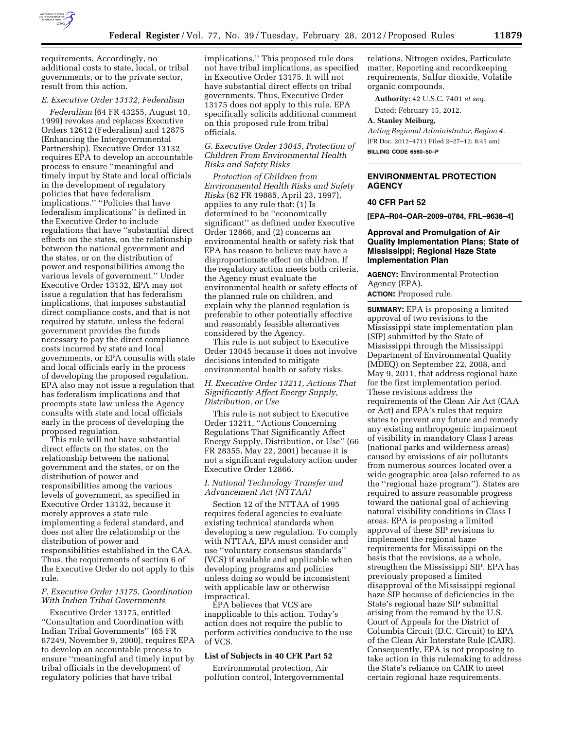

## *E. Executive Order 13132, Federalism*

*Federalism* (64 FR 43255, August 10, 1999) revokes and replaces Executive Orders 12612 (Federalism) and 12875 (Enhancing the Intergovernmental Partnership). Executive Order 13132 requires EPA to develop an accountable process to ensure ''meaningful and timely input by State and local officials in the development of regulatory policies that have federalism implications.'' ''Policies that have federalism implications'' is defined in the Executive Order to include regulations that have ''substantial direct effects on the states, on the relationship between the national government and the states, or on the distribution of power and responsibilities among the various levels of government.'' Under Executive Order 13132, EPA may not issue a regulation that has federalism implications, that imposes substantial direct compliance costs, and that is not required by statute, unless the federal government provides the funds necessary to pay the direct compliance costs incurred by state and local governments, or EPA consults with state and local officials early in the process of developing the proposed regulation. EPA also may not issue a regulation that has federalism implications and that preempts state law unless the Agency consults with state and local officials early in the process of developing the proposed regulation.

This rule will not have substantial direct effects on the states, on the relationship between the national government and the states, or on the distribution of power and responsibilities among the various levels of government, as specified in Executive Order 13132, because it merely approves a state rule implementing a federal standard, and does not alter the relationship or the distribution of power and responsibilities established in the CAA. Thus, the requirements of section 6 of the Executive Order do not apply to this rule.

## *F. Executive Order 13175, Coordination With Indian Tribal Governments*

Executive Order 13175, entitled ''Consultation and Coordination with Indian Tribal Governments'' (65 FR 67249, November 9, 2000), requires EPA to develop an accountable process to ensure ''meaningful and timely input by tribal officials in the development of regulatory policies that have tribal

implications.'' This proposed rule does not have tribal implications, as specified in Executive Order 13175. It will not have substantial direct effects on tribal governments. Thus, Executive Order 13175 does not apply to this rule. EPA specifically solicits additional comment on this proposed rule from tribal officials.

# *G. Executive Order 13045, Protection of Children From Environmental Health Risks and Safety Risks*

*Protection of Children from Environmental Health Risks and Safety Risks* (62 FR 19885, April 23, 1997), applies to any rule that: (1) Is determined to be ''economically significant'' as defined under Executive Order 12866, and (2) concerns an environmental health or safety risk that EPA has reason to believe may have a disproportionate effect on children. If the regulatory action meets both criteria, the Agency must evaluate the environmental health or safety effects of the planned rule on children, and explain why the planned regulation is preferable to other potentially effective and reasonably feasible alternatives considered by the Agency.

This rule is not subject to Executive Order 13045 because it does not involve decisions intended to mitigate environmental health or safety risks.

# *H. Executive Order 13211, Actions That Significantly Affect Energy Supply, Distribution, or Use*

This rule is not subject to Executive Order 13211, ''Actions Concerning Regulations That Significantly Affect Energy Supply, Distribution, or Use'' (66 FR 28355, May 22, 2001) because it is not a significant regulatory action under Executive Order 12866.

## *I. National Technology Transfer and Advancement Act (NTTAA)*

Section 12 of the NTTAA of 1995 requires federal agencies to evaluate existing technical standards when developing a new regulation. To comply with NTTAA, EPA must consider and use ''voluntary consensus standards'' (VCS) if available and applicable when developing programs and policies unless doing so would be inconsistent with applicable law or otherwise impractical.

EPA believes that VCS are inapplicable to this action. Today's action does not require the public to perform activities conducive to the use of VCS.

## **List of Subjects in 40 CFR Part 52**

Environmental protection, Air pollution control, Intergovernmental

relations, Nitrogen oxides, Particulate matter, Reporting and recordkeeping requirements, Sulfur dioxide, Volatile organic compounds.

**Authority:** 42 U.S.C. 7401 *et seq.* 

Dated: February 15, 2012.

## **A. Stanley Meiburg,**

*Acting Regional Administrator, Region 4.*  [FR Doc. 2012–4711 Filed 2–27–12; 8:45 am]

**BILLING CODE 6560–50–P** 

# **ENVIRONMENTAL PROTECTION AGENCY**

# **40 CFR Part 52**

**[EPA–R04–OAR–2009–0784, FRL–9638–4]** 

## **Approval and Promulgation of Air Quality Implementation Plans; State of Mississippi; Regional Haze State Implementation Plan**

**AGENCY:** Environmental Protection Agency (EPA). **ACTION:** Proposed rule.

**SUMMARY:** EPA is proposing a limited approval of two revisions to the Mississippi state implementation plan (SIP) submitted by the State of Mississippi through the Mississippi Department of Environmental Quality (MDEQ) on September 22, 2008, and May 9, 2011, that address regional haze for the first implementation period. These revisions address the requirements of the Clean Air Act (CAA or Act) and EPA's rules that require states to prevent any future and remedy any existing anthropogenic impairment of visibility in mandatory Class I areas (national parks and wilderness areas) caused by emissions of air pollutants from numerous sources located over a wide geographic area (also referred to as the ''regional haze program''). States are required to assure reasonable progress toward the national goal of achieving natural visibility conditions in Class I areas. EPA is proposing a limited approval of these SIP revisions to implement the regional haze requirements for Mississippi on the basis that the revisions, as a whole, strengthen the Mississippi SIP. EPA has previously proposed a limited disapproval of the Mississippi regional haze SIP because of deficiencies in the State's regional haze SIP submittal arising from the remand by the U.S. Court of Appeals for the District of Columbia Circuit (D.C. Circuit) to EPA of the Clean Air Interstate Rule (CAIR). Consequently, EPA is not proposing to take action in this rulemaking to address the State's reliance on CAIR to meet certain regional haze requirements.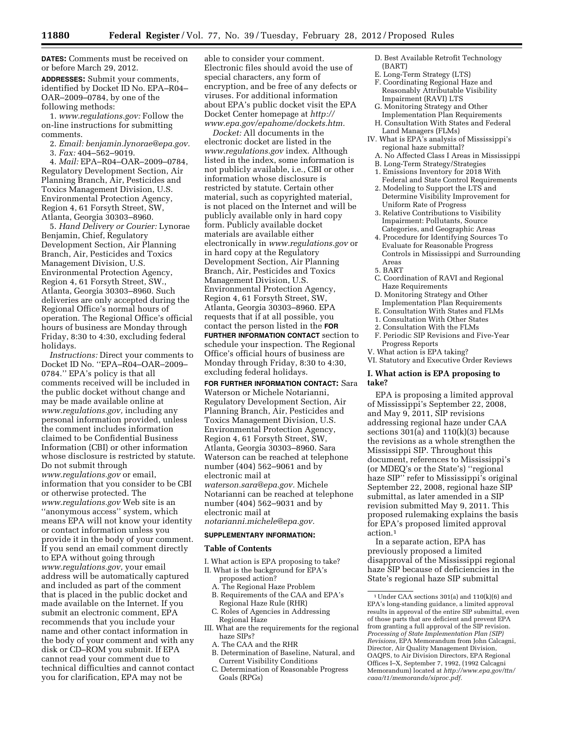**DATES:** Comments must be received on or before March 29, 2012.

**ADDRESSES:** Submit your comments, identified by Docket ID No. EPA–R04– OAR–2009–0784, by one of the following methods:

1. *[www.regulations.gov:](http://www.regulations.gov)* Follow the on-line instructions for submitting comments.

2. *Email: [benjamin.lynorae@epa.gov.](mailto:benjamin.lynorae@epa.gov)*  3. *Fax:* 404–562–9019.

4. *Mail:* EPA–R04–OAR–2009–0784, Regulatory Development Section, Air Planning Branch, Air, Pesticides and Toxics Management Division, U.S. Environmental Protection Agency, Region 4, 61 Forsyth Street, SW, Atlanta, Georgia 30303–8960.

5. *Hand Delivery or Courier:* Lynorae Benjamin, Chief, Regulatory Development Section, Air Planning Branch, Air, Pesticides and Toxics Management Division, U.S. Environmental Protection Agency, Region 4, 61 Forsyth Street, SW., Atlanta, Georgia 30303–8960. Such deliveries are only accepted during the Regional Office's normal hours of operation. The Regional Office's official hours of business are Monday through Friday, 8:30 to 4:30, excluding federal holidays.

*Instructions:* Direct your comments to Docket ID No. ''EPA–R04–OAR–2009– 0784.'' EPA's policy is that all comments received will be included in the public docket without change and may be made available online at *[www.regulations.gov,](http://www.regulations.gov)* including any personal information provided, unless the comment includes information claimed to be Confidential Business Information (CBI) or other information whose disclosure is restricted by statute. Do not submit through *[www.regulations.gov](http://www.regulations.gov)* or email, information that you consider to be CBI or otherwise protected. The *[www.regulations.gov](http://www.regulations.gov)* Web site is an ''anonymous access'' system, which means EPA will not know your identity or contact information unless you provide it in the body of your comment. If you send an email comment directly to EPA without going through *[www.regulations.gov,](http://www.regulations.gov)* your email address will be automatically captured and included as part of the comment that is placed in the public docket and made available on the Internet. If you submit an electronic comment, EPA recommends that you include your name and other contact information in the body of your comment and with any disk or CD–ROM you submit. If EPA cannot read your comment due to technical difficulties and cannot contact you for clarification, EPA may not be

able to consider your comment. Electronic files should avoid the use of special characters, any form of encryption, and be free of any defects or viruses. For additional information about EPA's public docket visit the EPA Docket Center homepage at *[http://](http://www.epa.gov/epahome/dockets.htm) [www.epa.gov/epahome/dockets.htm.](http://www.epa.gov/epahome/dockets.htm)* 

*Docket:* All documents in the electronic docket are listed in the *[www.regulations.gov](http://www.regulations.gov)* index. Although listed in the index, some information is not publicly available, i.e., CBI or other information whose disclosure is restricted by statute. Certain other material, such as copyrighted material, is not placed on the Internet and will be publicly available only in hard copy form. Publicly available docket materials are available either electronically in *[www.regulations.gov](http://www.regulations.gov)* or in hard copy at the Regulatory Development Section, Air Planning Branch, Air, Pesticides and Toxics Management Division, U.S. Environmental Protection Agency, Region 4, 61 Forsyth Street, SW, Atlanta, Georgia 30303–8960. EPA requests that if at all possible, you contact the person listed in the **FOR FURTHER INFORMATION CONTACT** section to schedule your inspection. The Regional Office's official hours of business are Monday through Friday, 8:30 to 4:30, excluding federal holidays.

**FOR FURTHER INFORMATION CONTACT:** Sara Waterson or Michele Notarianni, Regulatory Development Section, Air Planning Branch, Air, Pesticides and Toxics Management Division, U.S. Environmental Protection Agency, Region 4, 61 Forsyth Street, SW, Atlanta, Georgia 30303–8960. Sara Waterson can be reached at telephone number (404) 562–9061 and by electronic mail at *[waterson.sara@epa.gov.](mailto:waterson.sara@epa.gov)* Michele Notarianni can be reached at telephone number (404) 562–9031 and by electronic mail at

*[notarianni.michele@epa.gov.](mailto:notarianni.michele@epa.gov)* 

## **SUPPLEMENTARY INFORMATION:**

#### **Table of Contents**

- I. What action is EPA proposing to take?
- II. What is the background for EPA's proposed action?
	- A. The Regional Haze Problem B. Requirements of the CAA and EPA's
	- Regional Haze Rule (RHR) C. Roles of Agencies in Addressing
	- Regional Haze
- III. What are the requirements for the regional haze SIPs?
	- A. The CAA and the RHR
	- B. Determination of Baseline, Natural, and Current Visibility Conditions
	- C. Determination of Reasonable Progress Goals (RPGs)
- D. Best Available Retrofit Technology
- (BART)
- E. Long-Term Strategy (LTS)
- F. Coordinating Regional Haze and Reasonably Attributable Visibility Impairment (RAVI) LTS
- G. Monitoring Strategy and Other Implementation Plan Requirements
- H. Consultation With States and Federal Land Managers (FLMs)
- IV. What is EPA's analysis of Mississippi's regional haze submittal?
	- A. No Affected Class I Areas in Mississippi
	- B. Long-Term Strategy/Strategies
	- 1. Emissions Inventory for 2018 With Federal and State Control Requirements
	- 2. Modeling to Support the LTS and Determine Visibility Improvement for Uniform Rate of Progress
	- 3. Relative Contributions to Visibility Impairment: Pollutants, Source Categories, and Geographic Areas
	- 4. Procedure for Identifying Sources To Evaluate for Reasonable Progress Controls in Mississippi and Surrounding Areas
	- 5. BART
	- C. Coordination of RAVI and Regional Haze Requirements
	- D. Monitoring Strategy and Other Implementation Plan Requirements
	- E. Consultation With States and FLMs
	- 1. Consultation With Other States
	- 2. Consultation With the FLMs
- F. Periodic SIP Revisions and Five-Year Progress Reports
- V. What action is EPA taking?

VI. Statutory and Executive Order Reviews

# **I. What action is EPA proposing to take?**

EPA is proposing a limited approval of Mississippi's September 22, 2008, and May 9, 2011, SIP revisions addressing regional haze under CAA sections  $301(a)$  and  $110(k)(3)$  because the revisions as a whole strengthen the Mississippi SIP. Throughout this document, references to Mississippi's (or MDEQ's or the State's) ''regional haze SIP'' refer to Mississippi's original September 22, 2008, regional haze SIP submittal, as later amended in a SIP revision submitted May 9, 2011. This proposed rulemaking explains the basis for EPA's proposed limited approval action.1

In a separate action, EPA has previously proposed a limited disapproval of the Mississippi regional haze SIP because of deficiencies in the State's regional haze SIP submittal

<sup>1</sup>Under CAA sections 301(a) and 110(k)(6) and EPA's long-standing guidance, a limited approval results in approval of the entire SIP submittal, even of those parts that are deficient and prevent EPA from granting a full approval of the SIP revision. *Processing of State Implementation Plan (SIP) Revisions,* EPA Memorandum from John Calcagni, Director, Air Quality Management Division, OAQPS, to Air Division Directors, EPA Regional Offices I–X, September 7, 1992, (1992 Calcagni Memorandum) located at *[http://www.epa.gov/ttn/](http://www.epa.gov/ttn/caaa/t1/memoranda/siproc.pdf) [caaa/t1/memoranda/siproc.pdf.](http://www.epa.gov/ttn/caaa/t1/memoranda/siproc.pdf)*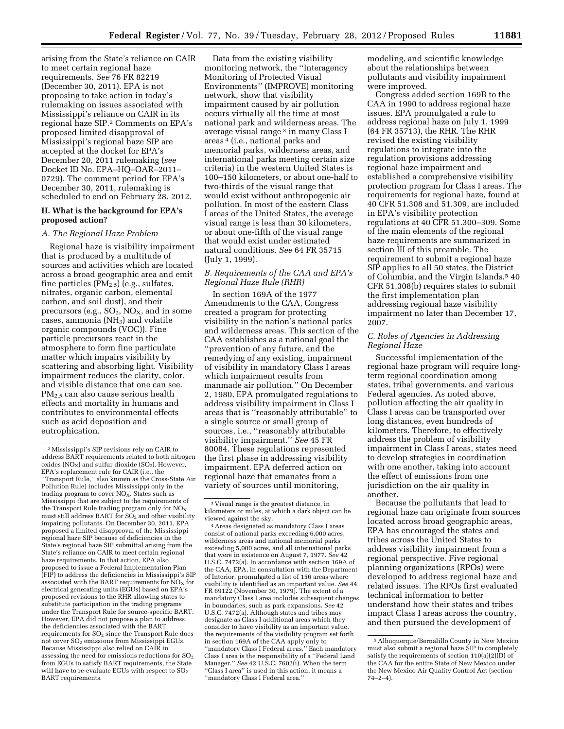arising from the State's reliance on CAIR to meet certain regional haze requirements. *See* 76 FR 82219 (December 30, 2011). EPA is not proposing to take action in today's rulemaking on issues associated with Mississippi's reliance on CAIR in its regional haze SIP.2 Comments on EPA's proposed limited disapproval of Mississippi's regional haze SIP are accepted at the docket for EPA's December 20, 2011 rulemaking (*see*  Docket ID No. EPA–HQ–OAR–2011– 0729). The comment period for EPA's December 30, 2011, rulemaking is scheduled to end on February 28, 2012.

# **II. What is the background for EPA's proposed action?**

## *A. The Regional Haze Problem*

Regional haze is visibility impairment that is produced by a multitude of sources and activities which are located across a broad geographic area and emit fine particles  $(PM_{2.5})$  (e.g., sulfates, nitrates, organic carbon, elemental carbon, and soil dust), and their precursors (e.g.,  $SO_2$ ,  $NO_X$ , and in some cases, ammonia  $(NH<sub>3</sub>)$  and volatile organic compounds (VOC)). Fine particle precursors react in the atmosphere to form fine particulate matter which impairs visibility by scattering and absorbing light. Visibility impairment reduces the clarity, color, and visible distance that one can see. PM<sub>2.5</sub> can also cause serious health effects and mortality in humans and contributes to environmental effects such as acid deposition and eutrophication.

Data from the existing visibility monitoring network, the ''Interagency Monitoring of Protected Visual Environments'' (IMPROVE) monitoring network, show that visibility impairment caused by air pollution occurs virtually all the time at most national park and wilderness areas. The average visual range<sup>3</sup> in many Class I areas 4 (i.e., national parks and memorial parks, wilderness areas, and international parks meeting certain size criteria) in the western United States is 100–150 kilometers, or about one-half to two-thirds of the visual range that would exist without anthropogenic air pollution. In most of the eastern Class I areas of the United States, the average visual range is less than 30 kilometers, or about one-fifth of the visual range that would exist under estimated natural conditions. *See* 64 FR 35715 (July 1, 1999).

# *B. Requirements of the CAA and EPA's Regional Haze Rule (RHR)*

In section 169A of the 1977 Amendments to the CAA, Congress created a program for protecting visibility in the nation's national parks and wilderness areas. This section of the CAA establishes as a national goal the ''prevention of any future, and the remedying of any existing, impairment of visibility in mandatory Class I areas which impairment results from manmade air pollution.'' On December 2, 1980, EPA promulgated regulations to address visibility impairment in Class I areas that is ''reasonably attributable'' to a single source or small group of sources, i.e., ''reasonably attributable visibility impairment.'' *See* 45 FR 80084. These regulations represented the first phase in addressing visibility impairment. EPA deferred action on regional haze that emanates from a variety of sources until monitoring,

viewed against the sky. 4Areas designated as mandatory Class I areas consist of national parks exceeding 6,000 acres, wilderness areas and national memorial parks exceeding 5,000 acres, and all international parks that were in existence on August 7, 1977. *See* 42 U.S.C. 7472(a). In accordance with section 169A of the CAA, EPA, in consultation with the Department of Interior, promulgated a list of 156 areas where visibility is identified as an important value. *See* 44 FR 69122 (November 30, 1979). The extent of a mandatory Class I area includes subsequent changes in boundaries, such as park expansions. *See* 42 U.S.C. 7472(a). Although states and tribes may designate as Class I additional areas which they consider to have visibility as an important value, the requirements of the visibility program set forth in section 169A of the CAA apply only to ''mandatory Class I Federal areas.'' Each mandatory Class I area is the responsibility of a ''Federal Land Manager.'' *See* 42 U.S.C. 7602(i). When the term ''Class I area'' is used in this action, it means a ''mandatory Class I Federal area.''

modeling, and scientific knowledge about the relationships between pollutants and visibility impairment were improved.

Congress added section 169B to the CAA in 1990 to address regional haze issues. EPA promulgated a rule to address regional haze on July 1, 1999 (64 FR 35713), the RHR. The RHR revised the existing visibility regulations to integrate into the regulation provisions addressing regional haze impairment and established a comprehensive visibility protection program for Class I areas. The requirements for regional haze, found at 40 CFR 51.308 and 51.309, are included in EPA's visibility protection regulations at 40 CFR 51.300–309. Some of the main elements of the regional haze requirements are summarized in section III of this preamble. The requirement to submit a regional haze SIP applies to all 50 states, the District of Columbia, and the Virgin Islands.5 40 CFR 51.308(b) requires states to submit the first implementation plan addressing regional haze visibility impairment no later than December 17, 2007.

## *C. Roles of Agencies in Addressing Regional Haze*

Successful implementation of the regional haze program will require longterm regional coordination among states, tribal governments, and various Federal agencies. As noted above, pollution affecting the air quality in Class I areas can be transported over long distances, even hundreds of kilometers. Therefore, to effectively address the problem of visibility impairment in Class I areas, states need to develop strategies in coordination with one another, taking into account the effect of emissions from one jurisdiction on the air quality in another.

Because the pollutants that lead to regional haze can originate from sources located across broad geographic areas, EPA has encouraged the states and tribes across the United States to address visibility impairment from a regional perspective. Five regional planning organizations (RPOs) were developed to address regional haze and related issues. The RPOs first evaluated technical information to better understand how their states and tribes impact Class I areas across the country, and then pursued the development of

<sup>2</sup>Mississippi's SIP revisions rely on CAIR to address BART requirements related to both nitrogen oxides ( $NO_X$ ) and sulfur dioxide ( $SO_2$ ). However, EPA's replacement rule for CAIR (i.e., the ''Transport Rule,'' also known as the Cross-State Air Pollution Rule) includes Mississippi only in the trading program to cover NO<sub>X</sub>. States such as Mississippi that are subject to the requirements of the Transport Rule trading program only for  $NO<sub>x</sub>$ must still address BART for  $SO<sub>2</sub>$  and other visibility impairing pollutants. On December 30, 2011, EPA proposed a limited disapproval of the Mississippi regional haze SIP because of deficiencies in the State's regional haze SIP submittal arising from the State's reliance on CAIR to meet certain regional haze requirements. In that action, EPA also proposed to issue a Federal Implementation Plan (FIP) to address the deficiencies in Mississippi's SIP associated with the BART requirements for  $\overline{NO_X}$  for electrical generating units (EGUs) based on EPA's proposed revisions to the RHR allowing states to substitute participation in the trading programs under the Transport Rule for source-specific BART. However, EPA did not propose a plan to address the deficiencies associated with the BART requirements for  $SO_2$  since the Transport Rule does not cover SO2 emissions from Mississippi EGUs. Because Mississippi also relied on CAIR in assessing the need for emissions reductions for  $SO_2$ from EGUs to satisfy BART requirements, the State will have to re-evaluate EGUs with respect to  $SO<sub>2</sub>$ BART requirements.

<sup>3</sup> Visual range is the greatest distance, in kilometers or miles, at which a dark object can be

<sup>5</sup>Albuquerque/Bernalillo County in New Mexico must also submit a regional haze SIP to completely satisfy the requirements of section  $110(a)(2)(D)$  of the CAA for the entire State of New Mexico under the New Mexico Air Quality Control Act (section 74–2–4).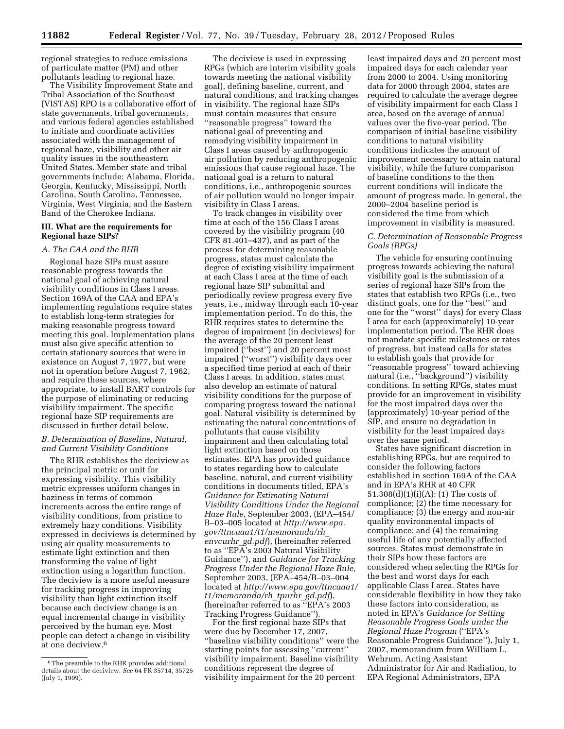regional strategies to reduce emissions of particulate matter (PM) and other pollutants leading to regional haze.

The Visibility Improvement State and Tribal Association of the Southeast (VISTAS) RPO is a collaborative effort of state governments, tribal governments, and various federal agencies established to initiate and coordinate activities associated with the management of regional haze, visibility and other air quality issues in the southeastern United States. Member state and tribal governments include: Alabama, Florida, Georgia, Kentucky, Mississippi, North Carolina, South Carolina, Tennessee, Virginia, West Virginia, and the Eastern Band of the Cherokee Indians.

## **III. What are the requirements for Regional haze SIPs?**

## *A. The CAA and the RHR*

Regional haze SIPs must assure reasonable progress towards the national goal of achieving natural visibility conditions in Class I areas. Section 169A of the CAA and EPA's implementing regulations require states to establish long-term strategies for making reasonable progress toward meeting this goal. Implementation plans must also give specific attention to certain stationary sources that were in existence on August 7, 1977, but were not in operation before August 7, 1962, and require these sources, where appropriate, to install BART controls for the purpose of eliminating or reducing visibility impairment. The specific regional haze SIP requirements are discussed in further detail below.

# *B. Determination of Baseline, Natural, and Current Visibility Conditions*

The RHR establishes the deciview as the principal metric or unit for expressing visibility. This visibility metric expresses uniform changes in haziness in terms of common increments across the entire range of visibility conditions, from pristine to extremely hazy conditions. Visibility expressed in deciviews is determined by using air quality measurements to estimate light extinction and then transforming the value of light extinction using a logarithm function. The deciview is a more useful measure for tracking progress in improving visibility than light extinction itself because each deciview change is an equal incremental change in visibility perceived by the human eye. Most people can detect a change in visibility at one deciview.6

The deciview is used in expressing RPGs (which are interim visibility goals towards meeting the national visibility goal), defining baseline, current, and natural conditions, and tracking changes in visibility. The regional haze SIPs must contain measures that ensure ''reasonable progress'' toward the national goal of preventing and remedying visibility impairment in Class I areas caused by anthropogenic air pollution by reducing anthropogenic emissions that cause regional haze. The national goal is a return to natural conditions, i.e., anthropogenic sources of air pollution would no longer impair visibility in Class I areas.

To track changes in visibility over time at each of the 156 Class I areas covered by the visibility program (40 CFR 81.401–437), and as part of the process for determining reasonable progress, states must calculate the degree of existing visibility impairment at each Class I area at the time of each regional haze SIP submittal and periodically review progress every five years, i.e., midway through each 10-year implementation period. To do this, the RHR requires states to determine the degree of impairment (in deciviews) for the average of the 20 percent least impaired (''best'') and 20 percent most impaired (''worst'') visibility days over a specified time period at each of their Class I areas. In addition, states must also develop an estimate of natural visibility conditions for the purpose of comparing progress toward the national goal. Natural visibility is determined by estimating the natural concentrations of pollutants that cause visibility impairment and then calculating total light extinction based on those estimates. EPA has provided guidance to states regarding how to calculate baseline, natural, and current visibility conditions in documents titled, EPA's *Guidance for Estimating Natural Visibility Conditions Under the Regional Haze Rule,* September 2003, (EPA–454/ B–03–005 located at *[http://www.epa.](http://www.epa.gov/ttncaaa1/t1/memoranda/rh_envcurhr_gd.pdf) [gov/ttncaaa1/t1/memoranda/rh](http://www.epa.gov/ttncaaa1/t1/memoranda/rh_envcurhr_gd.pdf)*\_ *[envcurhr](http://www.epa.gov/ttncaaa1/t1/memoranda/rh_envcurhr_gd.pdf)*\_*gd.pdf*), (hereinafter referred to as ''EPA's 2003 Natural Visibility Guidance''), and *Guidance for Tracking Progress Under the Regional Haze Rule,*  September 2003, (EPA–454/B–03–004 located at *[http://www.epa.gov/ttncaaa1/](http://www.epa.gov/ttncaaa1/t1/memoranda/rh_tpurhr_gd.pdf)  [t1/memoranda/rh](http://www.epa.gov/ttncaaa1/t1/memoranda/rh_tpurhr_gd.pdf)*\_*tpurhr*\_*gd.pdf*), (hereinafter referred to as ''EPA's 2003 Tracking Progress Guidance'').

For the first regional haze SIPs that were due by December 17, 2007, ''baseline visibility conditions'' were the starting points for assessing ''current'' visibility impairment. Baseline visibility conditions represent the degree of visibility impairment for the 20 percent

least impaired days and 20 percent most impaired days for each calendar year from 2000 to 2004. Using monitoring data for 2000 through 2004, states are required to calculate the average degree of visibility impairment for each Class I area, based on the average of annual values over the five-year period. The comparison of initial baseline visibility conditions to natural visibility conditions indicates the amount of improvement necessary to attain natural visibility, while the future comparison of baseline conditions to the then current conditions will indicate the amount of progress made. In general, the 2000–2004 baseline period is considered the time from which improvement in visibility is measured.

## *C. Determination of Reasonable Progress Goals (RPGs)*

The vehicle for ensuring continuing progress towards achieving the natural visibility goal is the submission of a series of regional haze SIPs from the states that establish two RPGs (i.e., two distinct goals, one for the ''best'' and one for the ''worst'' days) for every Class I area for each (approximately) 10-year implementation period. The RHR does not mandate specific milestones or rates of progress, but instead calls for states to establish goals that provide for ''reasonable progress'' toward achieving natural (i.e., ''background'') visibility conditions. In setting RPGs, states must provide for an improvement in visibility for the most impaired days over the (approximately) 10-year period of the SIP, and ensure no degradation in visibility for the least impaired days over the same period.

States have significant discretion in establishing RPGs, but are required to consider the following factors established in section 169A of the CAA and in EPA's RHR at 40 CFR 51.308(d)(1)(i)(A): (1) The costs of compliance; (2) the time necessary for compliance; (3) the energy and non-air quality environmental impacts of compliance; and (4) the remaining useful life of any potentially affected sources. States must demonstrate in their SIPs how these factors are considered when selecting the RPGs for the best and worst days for each applicable Class I area. States have considerable flexibility in how they take these factors into consideration, as noted in EPA's *Guidance for Setting Reasonable Progress Goals under the Regional Haze Program* (''EPA's Reasonable Progress Guidance''), July 1, 2007, memorandum from William L. Wehrum, Acting Assistant Administrator for Air and Radiation, to EPA Regional Administrators, EPA

<sup>6</sup>The preamble to the RHR provides additional details about the deciview. *See* 64 FR 35714, 35725 (July 1, 1999).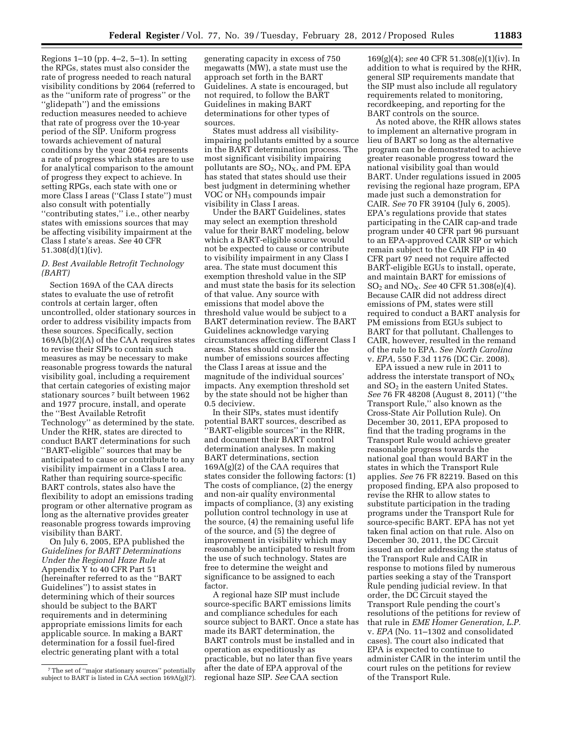Regions 1–10 (pp. 4–2, 5–1). In setting the RPGs, states must also consider the rate of progress needed to reach natural visibility conditions by 2064 (referred to as the ''uniform rate of progress'' or the ''glidepath'') and the emissions reduction measures needed to achieve that rate of progress over the 10-year period of the SIP. Uniform progress towards achievement of natural conditions by the year 2064 represents a rate of progress which states are to use for analytical comparison to the amount of progress they expect to achieve. In setting RPGs, each state with one or more Class I areas (''Class I state'') must also consult with potentially ''contributing states,'' i.e., other nearby states with emissions sources that may be affecting visibility impairment at the Class I state's areas. *See* 40 CFR 51.308(d)(1)(iv).

# *D. Best Available Retrofit Technology (BART)*

Section 169A of the CAA directs states to evaluate the use of retrofit controls at certain larger, often uncontrolled, older stationary sources in order to address visibility impacts from these sources. Specifically, section 169A(b)(2)(A) of the CAA requires states to revise their SIPs to contain such measures as may be necessary to make reasonable progress towards the natural visibility goal, including a requirement that certain categories of existing major stationary sources 7 built between 1962 and 1977 procure, install, and operate the ''Best Available Retrofit Technology'' as determined by the state. Under the RHR, states are directed to conduct BART determinations for such ''BART-eligible'' sources that may be anticipated to cause or contribute to any visibility impairment in a Class I area. Rather than requiring source-specific BART controls, states also have the flexibility to adopt an emissions trading program or other alternative program as long as the alternative provides greater reasonable progress towards improving visibility than BART.

On July 6, 2005, EPA published the *Guidelines for BART Determinations Under the Regional Haze Rule* at Appendix Y to 40 CFR Part 51 (hereinafter referred to as the ''BART Guidelines'') to assist states in determining which of their sources should be subject to the BART requirements and in determining appropriate emissions limits for each applicable source. In making a BART determination for a fossil fuel-fired electric generating plant with a total

generating capacity in excess of 750 megawatts (MW), a state must use the approach set forth in the BART Guidelines. A state is encouraged, but not required, to follow the BART Guidelines in making BART determinations for other types of sources.

States must address all visibilityimpairing pollutants emitted by a source in the BART determination process. The most significant visibility impairing pollutants are  $SO_2$ ,  $NO<sub>X</sub>$ , and PM. EPA has stated that states should use their best judgment in determining whether VOC or NH<sub>3</sub> compounds impair visibility in Class I areas.

Under the BART Guidelines, states may select an exemption threshold value for their BART modeling, below which a BART-eligible source would not be expected to cause or contribute to visibility impairment in any Class I area. The state must document this exemption threshold value in the SIP and must state the basis for its selection of that value. Any source with emissions that model above the threshold value would be subject to a BART determination review. The BART Guidelines acknowledge varying circumstances affecting different Class I areas. States should consider the number of emissions sources affecting the Class I areas at issue and the magnitude of the individual sources' impacts. Any exemption threshold set by the state should not be higher than 0.5 deciview.

In their SIPs, states must identify potential BART sources, described as ''BART-eligible sources'' in the RHR, and document their BART control determination analyses. In making BART determinations, section 169A(g)(2) of the CAA requires that states consider the following factors: (1) The costs of compliance, (2) the energy and non-air quality environmental impacts of compliance, (3) any existing pollution control technology in use at the source, (4) the remaining useful life of the source, and (5) the degree of improvement in visibility which may reasonably be anticipated to result from the use of such technology. States are free to determine the weight and significance to be assigned to each factor.

A regional haze SIP must include source-specific BART emissions limits and compliance schedules for each source subject to BART. Once a state has made its BART determination, the BART controls must be installed and in operation as expeditiously as practicable, but no later than five years after the date of EPA approval of the regional haze SIP. *See* CAA section

169(g)(4); *see* 40 CFR 51.308(e)(1)(iv). In addition to what is required by the RHR, general SIP requirements mandate that the SIP must also include all regulatory requirements related to monitoring, recordkeeping, and reporting for the BART controls on the source.

As noted above, the RHR allows states to implement an alternative program in lieu of BART so long as the alternative program can be demonstrated to achieve greater reasonable progress toward the national visibility goal than would BART. Under regulations issued in 2005 revising the regional haze program, EPA made just such a demonstration for CAIR. *See* 70 FR 39104 (July 6, 2005). EPA's regulations provide that states participating in the CAIR cap-and trade program under 40 CFR part 96 pursuant to an EPA-approved CAIR SIP or which remain subject to the CAIR FIP in 40 CFR part 97 need not require affected BART-eligible EGUs to install, operate, and maintain BART for emissions of SO2 and NOX. *See* 40 CFR 51.308(e)(4). Because CAIR did not address direct emissions of PM, states were still required to conduct a BART analysis for PM emissions from EGUs subject to BART for that pollutant. Challenges to CAIR, however, resulted in the remand of the rule to EPA. *See North Carolina*  v. *EPA,* 550 F.3d 1176 (DC Cir. 2008).

EPA issued a new rule in 2011 to address the interstate transport of  $NO<sub>x</sub>$ and  $SO<sub>2</sub>$  in the eastern United States. *See* 76 FR 48208 (August 8, 2011) (''the Transport Rule,'' also known as the Cross-State Air Pollution Rule). On December 30, 2011, EPA proposed to find that the trading programs in the Transport Rule would achieve greater reasonable progress towards the national goal than would BART in the states in which the Transport Rule applies. *See* 76 FR 82219. Based on this proposed finding, EPA also proposed to revise the RHR to allow states to substitute participation in the trading programs under the Transport Rule for source-specific BART. EPA has not yet taken final action on that rule. Also on December 30, 2011, the DC Circuit issued an order addressing the status of the Transport Rule and CAIR in response to motions filed by numerous parties seeking a stay of the Transport Rule pending judicial review. In that order, the DC Circuit stayed the Transport Rule pending the court's resolutions of the petitions for review of that rule in *EME Homer Generation, L.P.*  v. *EPA* (No. 11–1302 and consolidated cases). The court also indicated that EPA is expected to continue to administer CAIR in the interim until the court rules on the petitions for review of the Transport Rule.

<sup>7</sup>The set of ''major stationary sources'' potentially subject to BART is listed in  $CAA$  section 169A(g)(7).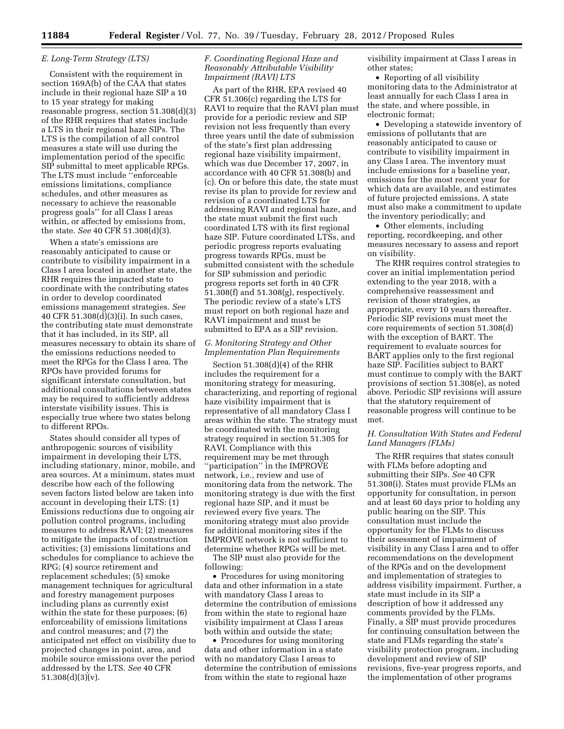## *E. Long-Term Strategy (LTS)*

Consistent with the requirement in section 169A(b) of the CAA that states include in their regional haze SIP a 10 to 15 year strategy for making reasonable progress, section 51.308(d)(3) of the RHR requires that states include a LTS in their regional haze SIPs. The LTS is the compilation of all control measures a state will use during the implementation period of the specific SIP submittal to meet applicable RPGs. The LTS must include ''enforceable emissions limitations, compliance schedules, and other measures as necessary to achieve the reasonable progress goals'' for all Class I areas within, or affected by emissions from, the state. *See* 40 CFR 51.308(d)(3).

When a state's emissions are reasonably anticipated to cause or contribute to visibility impairment in a Class I area located in another state, the RHR requires the impacted state to coordinate with the contributing states in order to develop coordinated emissions management strategies. *See*  40 CFR 51.308(d)(3)(i). In such cases, the contributing state must demonstrate that it has included, in its SIP, all measures necessary to obtain its share of the emissions reductions needed to meet the RPGs for the Class I area. The RPOs have provided forums for significant interstate consultation, but additional consultations between states may be required to sufficiently address interstate visibility issues. This is especially true where two states belong to different RPOs.

States should consider all types of anthropogenic sources of visibility impairment in developing their LTS, including stationary, minor, mobile, and area sources. At a minimum, states must describe how each of the following seven factors listed below are taken into account in developing their LTS: (1) Emissions reductions due to ongoing air pollution control programs, including measures to address RAVI; (2) measures to mitigate the impacts of construction activities; (3) emissions limitations and schedules for compliance to achieve the RPG; (4) source retirement and replacement schedules; (5) smoke management techniques for agricultural and forestry management purposes including plans as currently exist within the state for these purposes; (6) enforceability of emissions limitations and control measures; and (7) the anticipated net effect on visibility due to projected changes in point, area, and mobile source emissions over the period addressed by the LTS. *See* 40 CFR 51.308(d)(3)(v).

# *F. Coordinating Regional Haze and Reasonably Attributable Visibility Impairment (RAVI) LTS*

As part of the RHR, EPA revised 40 CFR 51.306(c) regarding the LTS for RAVI to require that the RAVI plan must provide for a periodic review and SIP revision not less frequently than every three years until the date of submission of the state's first plan addressing regional haze visibility impairment, which was due December 17, 2007, in accordance with 40 CFR 51.308(b) and (c). On or before this date, the state must revise its plan to provide for review and revision of a coordinated LTS for addressing RAVI and regional haze, and the state must submit the first such coordinated LTS with its first regional haze SIP. Future coordinated LTSs, and periodic progress reports evaluating progress towards RPGs, must be submitted consistent with the schedule for SIP submission and periodic progress reports set forth in 40 CFR 51.308(f) and 51.308(g), respectively. The periodic review of a state's LTS must report on both regional haze and RAVI impairment and must be submitted to EPA as a SIP revision.

# *G. Monitoring Strategy and Other Implementation Plan Requirements*

Section 51.308(d)(4) of the RHR includes the requirement for a monitoring strategy for measuring, characterizing, and reporting of regional haze visibility impairment that is representative of all mandatory Class I areas within the state. The strategy must be coordinated with the monitoring strategy required in section 51.305 for RAVI. Compliance with this requirement may be met through ''participation'' in the IMPROVE network, i.e., review and use of monitoring data from the network. The monitoring strategy is due with the first regional haze SIP, and it must be reviewed every five years. The monitoring strategy must also provide for additional monitoring sites if the IMPROVE network is not sufficient to determine whether RPGs will be met.

The SIP must also provide for the following:

• Procedures for using monitoring data and other information in a state with mandatory Class I areas to determine the contribution of emissions from within the state to regional haze visibility impairment at Class I areas both within and outside the state;

• Procedures for using monitoring data and other information in a state with no mandatory Class I areas to determine the contribution of emissions from within the state to regional haze

visibility impairment at Class I areas in other states;

• Reporting of all visibility monitoring data to the Administrator at least annually for each Class I area in the state, and where possible, in electronic format;

• Developing a statewide inventory of emissions of pollutants that are reasonably anticipated to cause or contribute to visibility impairment in any Class I area. The inventory must include emissions for a baseline year, emissions for the most recent year for which data are available, and estimates of future projected emissions. A state must also make a commitment to update the inventory periodically; and

• Other elements, including reporting, recordkeeping, and other measures necessary to assess and report on visibility.

The RHR requires control strategies to cover an initial implementation period extending to the year 2018, with a comprehensive reassessment and revision of those strategies, as appropriate, every 10 years thereafter. Periodic SIP revisions must meet the core requirements of section 51.308(d) with the exception of BART. The requirement to evaluate sources for BART applies only to the first regional haze SIP. Facilities subject to BART must continue to comply with the BART provisions of section 51.308(e), as noted above. Periodic SIP revisions will assure that the statutory requirement of reasonable progress will continue to be met.

# *H. Consultation With States and Federal Land Managers (FLMs)*

The RHR requires that states consult with FLMs before adopting and submitting their SIPs. *See* 40 CFR 51.308(i). States must provide FLMs an opportunity for consultation, in person and at least 60 days prior to holding any public hearing on the SIP. This consultation must include the opportunity for the FLMs to discuss their assessment of impairment of visibility in any Class I area and to offer recommendations on the development of the RPGs and on the development and implementation of strategies to address visibility impairment. Further, a state must include in its SIP a description of how it addressed any comments provided by the FLMs. Finally, a SIP must provide procedures for continuing consultation between the state and FLMs regarding the state's visibility protection program, including development and review of SIP revisions, five-year progress reports, and the implementation of other programs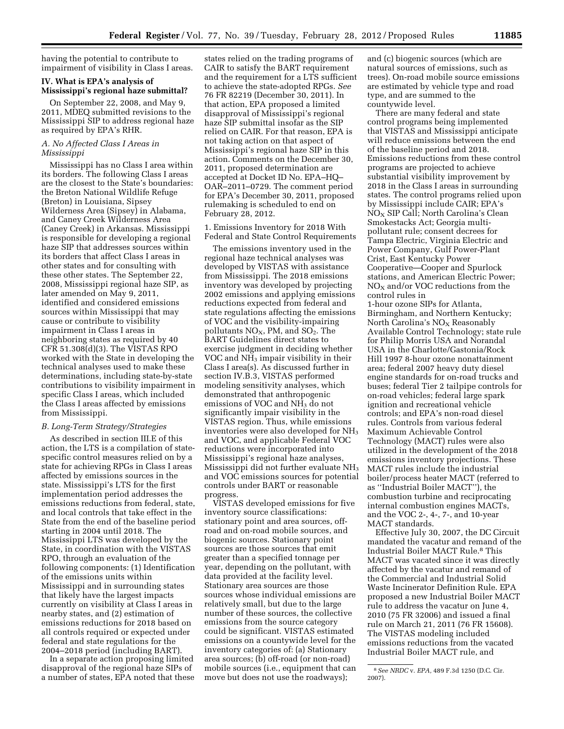having the potential to contribute to impairment of visibility in Class I areas.

## **IV. What is EPA's analysis of Mississippi's regional haze submittal?**

On September 22, 2008, and May 9, 2011, MDEQ submitted revisions to the Mississippi SIP to address regional haze as required by EPA's RHR.

# *A. No Affected Class I Areas in Mississippi*

Mississippi has no Class I area within its borders. The following Class I areas are the closest to the State's boundaries: the Breton National Wildlife Refuge (Breton) in Louisiana, Sipsey Wilderness Area (Sipsey) in Alabama, and Caney Creek Wilderness Area (Caney Creek) in Arkansas. Mississippi is responsible for developing a regional haze SIP that addresses sources within its borders that affect Class I areas in other states and for consulting with these other states. The September 22, 2008, Mississippi regional haze SIP, as later amended on May 9, 2011, identified and considered emissions sources within Mississippi that may cause or contribute to visibility impairment in Class I areas in neighboring states as required by 40 CFR 51.308(d)(3). The VISTAS RPO worked with the State in developing the technical analyses used to make these determinations, including state-by-state contributions to visibility impairment in specific Class I areas, which included the Class I areas affected by emissions from Mississippi.

## *B. Long-Term Strategy/Strategies*

As described in section III.E of this action, the LTS is a compilation of statespecific control measures relied on by a state for achieving RPGs in Class I areas affected by emissions sources in the state. Mississippi's LTS for the first implementation period addresses the emissions reductions from federal, state, and local controls that take effect in the State from the end of the baseline period starting in 2004 until 2018. The Mississippi LTS was developed by the State, in coordination with the VISTAS RPO, through an evaluation of the following components: (1) Identification of the emissions units within Mississippi and in surrounding states that likely have the largest impacts currently on visibility at Class I areas in nearby states, and (2) estimation of emissions reductions for 2018 based on all controls required or expected under federal and state regulations for the 2004–2018 period (including BART).

In a separate action proposing limited disapproval of the regional haze SIPs of a number of states, EPA noted that these

states relied on the trading programs of CAIR to satisfy the BART requirement and the requirement for a LTS sufficient to achieve the state-adopted RPGs. *See*  76 FR 82219 (December 30, 2011). In that action, EPA proposed a limited disapproval of Mississippi's regional haze SIP submittal insofar as the SIP relied on CAIR. For that reason, EPA is not taking action on that aspect of Mississippi's regional haze SIP in this action. Comments on the December 30, 2011, proposed determination are accepted at Docket ID No. EPA–HQ– OAR–2011–0729. The comment period for EPA's December 30, 2011, proposed rulemaking is scheduled to end on February 28, 2012.

1. Emissions Inventory for 2018 With Federal and State Control Requirements

The emissions inventory used in the regional haze technical analyses was developed by VISTAS with assistance from Mississippi. The 2018 emissions inventory was developed by projecting 2002 emissions and applying emissions reductions expected from federal and state regulations affecting the emissions of VOC and the visibility-impairing pollutants  $NO<sub>X</sub>$ , PM, and  $SO<sub>2</sub>$ . The BART Guidelines direct states to exercise judgment in deciding whether VOC and NH<sub>3</sub> impair visibility in their Class I area(s). As discussed further in section IV.B.3, VISTAS performed modeling sensitivity analyses, which demonstrated that anthropogenic emissions of VOC and  $NH<sub>3</sub>$  do not significantly impair visibility in the VISTAS region. Thus, while emissions inventories were also developed for NH3 and VOC, and applicable Federal VOC reductions were incorporated into Mississippi's regional haze analyses, Mississippi did not further evaluate NH3 and VOC emissions sources for potential controls under BART or reasonable progress.

VISTAS developed emissions for five inventory source classifications: stationary point and area sources, offroad and on-road mobile sources, and biogenic sources. Stationary point sources are those sources that emit greater than a specified tonnage per year, depending on the pollutant, with data provided at the facility level. Stationary area sources are those sources whose individual emissions are relatively small, but due to the large number of these sources, the collective emissions from the source category could be significant. VISTAS estimated emissions on a countywide level for the inventory categories of: (a) Stationary area sources; (b) off-road (or non-road) mobile sources (i.e., equipment that can move but does not use the roadways);

and (c) biogenic sources (which are natural sources of emissions, such as trees). On-road mobile source emissions are estimated by vehicle type and road type, and are summed to the countywide level.

There are many federal and state control programs being implemented that VISTAS and Mississippi anticipate will reduce emissions between the end of the baseline period and 2018. Emissions reductions from these control programs are projected to achieve substantial visibility improvement by 2018 in the Class I areas in surrounding states. The control programs relied upon by Mississippi include CAIR; EPA's NOX SIP Call; North Carolina's Clean Smokestacks Act; Georgia multipollutant rule; consent decrees for Tampa Electric, Virginia Electric and Power Company, Gulf Power-Plant Crist, East Kentucky Power Cooperative—Cooper and Spurlock stations, and American Electric Power;  $NO<sub>X</sub>$  and/or VOC reductions from the control rules in 1-hour ozone SIPs for Atlanta, Birmingham, and Northern Kentucky; North Carolina's  $NO<sub>x</sub>$  Reasonably Available Control Technology; state rule for Philip Morris USA and Norandal USA in the Charlotte/Gastonia/Rock Hill 1997 8-hour ozone nonattainment area; federal 2007 heavy duty diesel engine standards for on-road trucks and buses; federal Tier 2 tailpipe controls for on-road vehicles; federal large spark ignition and recreational vehicle controls; and EPA's non-road diesel rules. Controls from various federal Maximum Achievable Control Technology (MACT) rules were also

utilized in the development of the 2018 emissions inventory projections. These MACT rules include the industrial boiler/process heater MACT (referred to as ''Industrial Boiler MACT''), the combustion turbine and reciprocating internal combustion engines MACTs, and the VOC 2-, 4-, 7-, and 10-year MACT standards.

Effective July 30, 2007, the DC Circuit mandated the vacatur and remand of the Industrial Boiler MACT Rule.8 This MACT was vacated since it was directly affected by the vacatur and remand of the Commercial and Industrial Solid Waste Incinerator Definition Rule. EPA proposed a new Industrial Boiler MACT rule to address the vacatur on June 4, 2010 (75 FR 32006) and issued a final rule on March 21, 2011 (76 FR 15608). The VISTAS modeling included emissions reductions from the vacated Industrial Boiler MACT rule, and

<sup>8</sup>*See NRDC* v. *EPA,* 489 F.3d 1250 (D.C. Cir. 2007).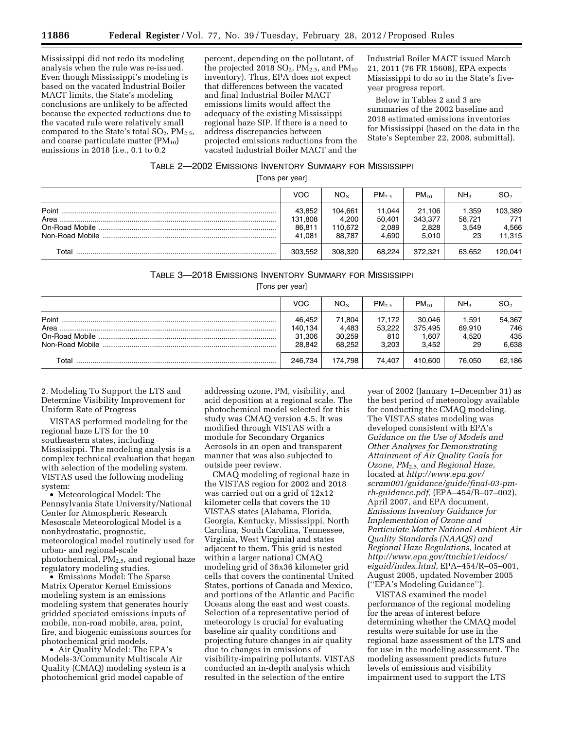Mississippi did not redo its modeling analysis when the rule was re-issued. Even though Mississippi's modeling is based on the vacated Industrial Boiler MACT limits, the State's modeling conclusions are unlikely to be affected because the expected reductions due to the vacated rule were relatively small compared to the State's total  $SO_2$ ,  $PM_{2.5}$ , and coarse particulate matter  $(PM_{10})$ emissions in 2018 (i.e., 0.1 to 0.2

percent, depending on the pollutant, of the projected 2018  $SO_2$ , PM<sub>2.5</sub>, and PM<sub>10</sub> inventory). Thus, EPA does not expect that differences between the vacated and final Industrial Boiler MACT emissions limits would affect the adequacy of the existing Mississippi regional haze SIP. If there is a need to address discrepancies between projected emissions reductions from the vacated Industrial Boiler MACT and the

Industrial Boiler MACT issued March 21, 2011 (76 FR 15608), EPA expects Mississippi to do so in the State's fiveyear progress report.

Below in Tables 2 and 3 are summaries of the 2002 baseline and 2018 estimated emissions inventories for Mississippi (based on the data in the State's September 22, 2008, submittal).

# TABLE 2—2002 EMISSIONS INVENTORY SUMMARY FOR MISSISSIPPI

[Tons per year]

|       | <b>VOC</b>                            | $NO_{X}$                              | $PM_{2.5}$                         | $PM_{10}$                           | NH <sub>3</sub>                | SO <sub>2</sub>                   |
|-------|---------------------------------------|---------------------------------------|------------------------------------|-------------------------------------|--------------------------------|-----------------------------------|
| Point | 43.852<br>131,808<br>86,811<br>41.081 | 104,661<br>4.200<br>110.672<br>88.787 | 11,044<br>50.401<br>2,089<br>4.690 | 21.106<br>343.377<br>2.828<br>5.010 | 1.359<br>58.721<br>3.549<br>23 | 103,389<br>771<br>4,566<br>11.315 |
| Total | 303.552                               | 308,320                               | 68.224                             | 372.321                             | 63.652                         | 120.041                           |

# TABLE 3—2018 EMISSIONS INVENTORY SUMMARY FOR MISSISSIPPI

[Tons per year]

|                 | <b>VOC</b> | $NO_{X}$ | PM <sub>25</sub> | $PM_{10}$ | NH <sub>3</sub> | SO <sub>2</sub> |
|-----------------|------------|----------|------------------|-----------|-----------------|-----------------|
| Point           | 46.452     | 71.804   | 17.172           | 30.046    | 1.591           | 54,367          |
| Area            | 140,134    | 4,483    | 53,222           | 375.495   | 69.910          | 746             |
|                 | 31,306     | 30.259   | 810              | 1.607     | 4.520           | 435             |
| Non-Road Mobile | 28.842     | 68.252   | 3.203            | 3.452     | 29              | 6,638           |
| Total           | 246.734    | 174.798  | 74.407           | 410.600   | 76.050          | 62,186          |

2. Modeling To Support the LTS and Determine Visibility Improvement for Uniform Rate of Progress

VISTAS performed modeling for the regional haze LTS for the 10 southeastern states, including Mississippi. The modeling analysis is a complex technical evaluation that began with selection of the modeling system. VISTAS used the following modeling system:

• Meteorological Model: The Pennsylvania State University/National Center for Atmospheric Research Mesoscale Meteorological Model is a nonhydrostatic, prognostic, meteorological model routinely used for urban- and regional-scale photochemical,  $PM<sub>2.5</sub>$ , and regional haze regulatory modeling studies.

• Emissions Model: The Sparse Matrix Operator Kernel Emissions modeling system is an emissions modeling system that generates hourly gridded speciated emissions inputs of mobile, non-road mobile, area, point, fire, and biogenic emissions sources for photochemical grid models.

• Air Quality Model: The EPA's Models-3/Community Multiscale Air Quality (CMAQ) modeling system is a photochemical grid model capable of

addressing ozone, PM, visibility, and acid deposition at a regional scale. The photochemical model selected for this study was CMAQ version 4.5. It was modified through VISTAS with a module for Secondary Organics Aerosols in an open and transparent manner that was also subjected to outside peer review.

CMAQ modeling of regional haze in the VISTAS region for 2002 and 2018 was carried out on a grid of 12x12 kilometer cells that covers the 10 VISTAS states (Alabama, Florida, Georgia, Kentucky, Mississippi, North Carolina, South Carolina, Tennessee, Virginia, West Virginia) and states adjacent to them. This grid is nested within a larger national CMAQ modeling grid of 36x36 kilometer grid cells that covers the continental United States, portions of Canada and Mexico, and portions of the Atlantic and Pacific Oceans along the east and west coasts. Selection of a representative period of meteorology is crucial for evaluating baseline air quality conditions and projecting future changes in air quality due to changes in emissions of visibility-impairing pollutants. VISTAS conducted an in-depth analysis which resulted in the selection of the entire

year of 2002 (January 1–December 31) as the best period of meteorology available for conducting the CMAQ modeling. The VISTAS states modeling was developed consistent with EPA's *Guidance on the Use of Models and Other Analyses for Demonstrating Attainment of Air Quality Goals for Ozone, PM*2.5, *and Regional Haze*, located at *[http://www.epa.gov/](http://www.epa.gov/scram001/guidance/guide/final-03-pm-rh-guidance.pdf) [scram001/guidance/guide/final-03-pm](http://www.epa.gov/scram001/guidance/guide/final-03-pm-rh-guidance.pdf)[rh-guidance.pdf,](http://www.epa.gov/scram001/guidance/guide/final-03-pm-rh-guidance.pdf)* (EPA–454/B–07–002), April 2007, and EPA document, *Emissions Inventory Guidance for Implementation of Ozone and Particulate Matter National Ambient Air Quality Standards (NAAQS) and Regional Haze Regulations,* located at *[http://www.epa.gov/ttnchie1/eidocs/](http://www.epa.gov/ttnchie1/eidocs/eiguid/index.html)  [eiguid/index.html,](http://www.epa.gov/ttnchie1/eidocs/eiguid/index.html)* EPA–454/R–05–001, August 2005, updated November 2005 (''EPA's Modeling Guidance'').

VISTAS examined the model performance of the regional modeling for the areas of interest before determining whether the CMAQ model results were suitable for use in the regional haze assessment of the LTS and for use in the modeling assessment. The modeling assessment predicts future levels of emissions and visibility impairment used to support the LTS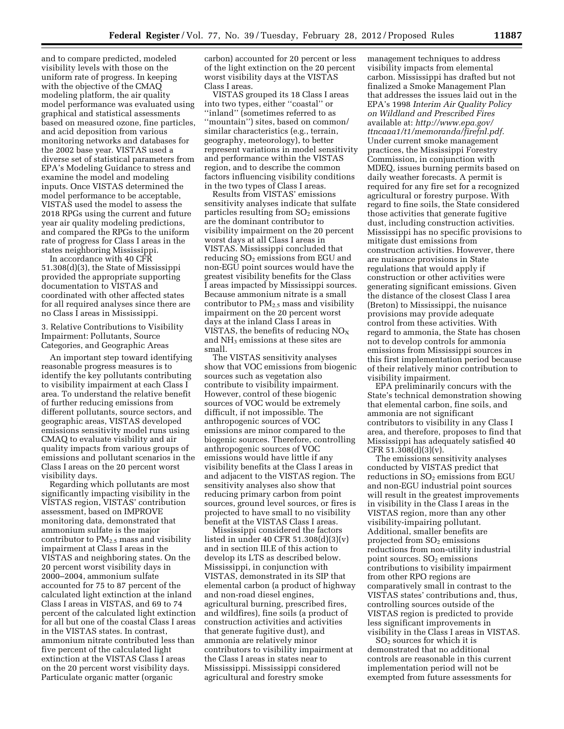and to compare predicted, modeled visibility levels with those on the uniform rate of progress. In keeping with the objective of the CMAQ modeling platform, the air quality model performance was evaluated using graphical and statistical assessments based on measured ozone, fine particles, and acid deposition from various monitoring networks and databases for the 2002 base year. VISTAS used a diverse set of statistical parameters from EPA's Modeling Guidance to stress and examine the model and modeling inputs. Once VISTAS determined the model performance to be acceptable, VISTAS used the model to assess the 2018 RPGs using the current and future year air quality modeling predictions, and compared the RPGs to the uniform rate of progress for Class I areas in the states neighboring Mississippi.

In accordance with 40 CFR 51.308(d)(3), the State of Mississippi provided the appropriate supporting documentation to VISTAS and coordinated with other affected states for all required analyses since there are no Class I areas in Mississippi.

3. Relative Contributions to Visibility Impairment: Pollutants, Source Categories, and Geographic Areas

An important step toward identifying reasonable progress measures is to identify the key pollutants contributing to visibility impairment at each Class I area. To understand the relative benefit of further reducing emissions from different pollutants, source sectors, and geographic areas, VISTAS developed emissions sensitivity model runs using CMAQ to evaluate visibility and air quality impacts from various groups of emissions and pollutant scenarios in the Class I areas on the 20 percent worst visibility days.

Regarding which pollutants are most significantly impacting visibility in the VISTAS region, VISTAS' contribution assessment, based on IMPROVE monitoring data, demonstrated that ammonium sulfate is the major contributor to  $PM<sub>2.5</sub>$  mass and visibility impairment at Class I areas in the VISTAS and neighboring states. On the 20 percent worst visibility days in 2000–2004, ammonium sulfate accounted for 75 to 87 percent of the calculated light extinction at the inland Class I areas in VISTAS, and 69 to 74 percent of the calculated light extinction for all but one of the coastal Class I areas in the VISTAS states. In contrast, ammonium nitrate contributed less than five percent of the calculated light extinction at the VISTAS Class I areas on the 20 percent worst visibility days. Particulate organic matter (organic

carbon) accounted for 20 percent or less of the light extinction on the 20 percent worst visibility days at the VISTAS Class I areas.

VISTAS grouped its 18 Class I areas into two types, either ''coastal'' or ''inland'' (sometimes referred to as ''mountain'') sites, based on common/ similar characteristics (e.g., terrain, geography, meteorology), to better represent variations in model sensitivity and performance within the VISTAS region, and to describe the common factors influencing visibility conditions in the two types of Class I areas.

Results from VISTAS' emissions sensitivity analyses indicate that sulfate particles resulting from  $SO<sub>2</sub>$  emissions are the dominant contributor to visibility impairment on the 20 percent worst days at all Class I areas in VISTAS. Mississippi concluded that reducing  $SO<sub>2</sub>$  emissions from EGU and non-EGU point sources would have the greatest visibility benefits for the Class I areas impacted by Mississippi sources. Because ammonium nitrate is a small contributor to  $PM_{2.5}$  mass and visibility impairment on the 20 percent worst days at the inland Class I areas in VISTAS, the benefits of reducing  $NO<sub>X</sub>$ and NH<sub>3</sub> emissions at these sites are small.

The VISTAS sensitivity analyses show that VOC emissions from biogenic sources such as vegetation also contribute to visibility impairment. However, control of these biogenic sources of VOC would be extremely difficult, if not impossible. The anthropogenic sources of VOC emissions are minor compared to the biogenic sources. Therefore, controlling anthropogenic sources of VOC emissions would have little if any visibility benefits at the Class I areas in and adjacent to the VISTAS region. The sensitivity analyses also show that reducing primary carbon from point sources, ground level sources, or fires is projected to have small to no visibility benefit at the VISTAS Class I areas.

Mississippi considered the factors listed in under 40 CFR 51.308(d)(3)(v) and in section III.E of this action to develop its LTS as described below. Mississippi, in conjunction with VISTAS, demonstrated in its SIP that elemental carbon (a product of highway and non-road diesel engines, agricultural burning, prescribed fires, and wildfires), fine soils (a product of construction activities and activities that generate fugitive dust), and ammonia are relatively minor contributors to visibility impairment at the Class I areas in states near to Mississippi. Mississippi considered agricultural and forestry smoke

management techniques to address visibility impacts from elemental carbon. Mississippi has drafted but not finalized a Smoke Management Plan that addresses the issues laid out in the EPA's 1998 *Interim Air Quality Policy on Wildland and Prescribed Fires*  available at: *[http://www.epa.gov/](http://www.epa.gov/ttncaaa1/t1/memoranda/firefnl.pdf)  [ttncaaa1/t1/memoranda/firefnl.pdf.](http://www.epa.gov/ttncaaa1/t1/memoranda/firefnl.pdf)*  Under current smoke management practices, the Mississippi Forestry Commission, in conjunction with MDEQ, issues burning permits based on daily weather forecasts. A permit is required for any fire set for a recognized agricultural or forestry purpose. With regard to fine soils, the State considered those activities that generate fugitive dust, including construction activities. Mississippi has no specific provisions to mitigate dust emissions from construction activities. However, there are nuisance provisions in State regulations that would apply if construction or other activities were generating significant emissions. Given the distance of the closest Class I area (Breton) to Mississippi, the nuisance provisions may provide adequate control from these activities. With regard to ammonia, the State has chosen not to develop controls for ammonia emissions from Mississippi sources in this first implementation period because of their relatively minor contribution to visibility impairment.

EPA preliminarily concurs with the State's technical demonstration showing that elemental carbon, fine soils, and ammonia are not significant contributors to visibility in any Class I area, and therefore, proposes to find that Mississippi has adequately satisfied 40 CFR  $51.308(d)(3)(v)$ .

The emissions sensitivity analyses conducted by VISTAS predict that reductions in  $SO<sub>2</sub>$  emissions from EGU and non-EGU industrial point sources will result in the greatest improvements in visibility in the Class I areas in the VISTAS region, more than any other visibility-impairing pollutant. Additional, smaller benefits are projected from  $SO<sub>2</sub>$  emissions reductions from non-utility industrial point sources.  $SO<sub>2</sub>$  emissions contributions to visibility impairment from other RPO regions are comparatively small in contrast to the VISTAS states' contributions and, thus, controlling sources outside of the VISTAS region is predicted to provide less significant improvements in visibility in the Class I areas in VISTAS.

SO2 sources for which it is demonstrated that no additional controls are reasonable in this current implementation period will not be exempted from future assessments for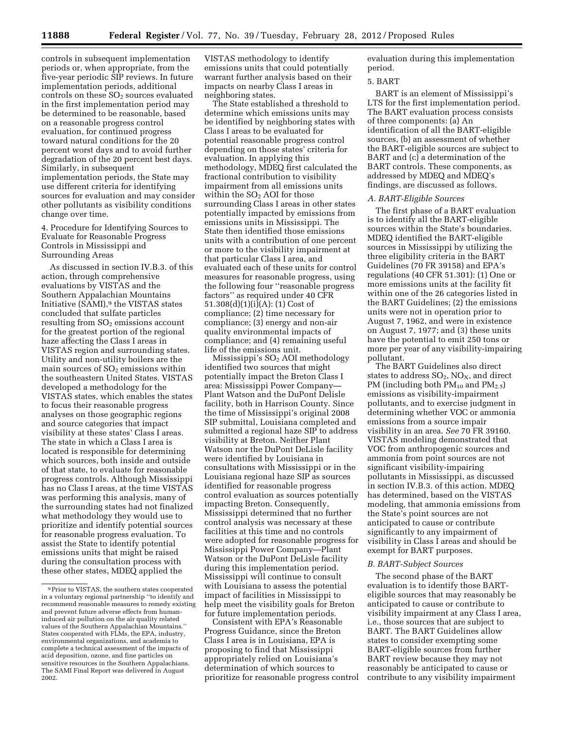controls in subsequent implementation periods or, when appropriate, from the five-year periodic SIP reviews. In future implementation periods, additional controls on these  $SO<sub>2</sub>$  sources evaluated in the first implementation period may be determined to be reasonable, based on a reasonable progress control evaluation, for continued progress toward natural conditions for the 20 percent worst days and to avoid further degradation of the 20 percent best days. Similarly, in subsequent implementation periods, the State may use different criteria for identifying sources for evaluation and may consider other pollutants as visibility conditions change over time.

# 4. Procedure for Identifying Sources to Evaluate for Reasonable Progress Controls in Mississippi and Surrounding Areas

As discussed in section IV.B.3. of this action, through comprehensive evaluations by VISTAS and the Southern Appalachian Mountains Initiative (SAMI),9 the VISTAS states concluded that sulfate particles resulting from  $SO<sub>2</sub>$  emissions account for the greatest portion of the regional haze affecting the Class I areas in VISTAS region and surrounding states. Utility and non-utility boilers are the main sources of  $SO<sub>2</sub>$  emissions within the southeastern United States. VISTAS developed a methodology for the VISTAS states, which enables the states to focus their reasonable progress analyses on those geographic regions and source categories that impact visibility at these states' Class I areas. The state in which a Class I area is located is responsible for determining which sources, both inside and outside of that state, to evaluate for reasonable progress controls. Although Mississippi has no Class I areas, at the time VISTAS was performing this analysis, many of the surrounding states had not finalized what methodology they would use to prioritize and identify potential sources for reasonable progress evaluation. To assist the State to identify potential emissions units that might be raised during the consultation process with these other states, MDEQ applied the

VISTAS methodology to identify emissions units that could potentially warrant further analysis based on their impacts on nearby Class I areas in neighboring states.

The State established a threshold to determine which emissions units may be identified by neighboring states with Class I areas to be evaluated for potential reasonable progress control depending on those states' criteria for evaluation. In applying this methodology, MDEQ first calculated the fractional contribution to visibility impairment from all emissions units within the  $SO<sub>2</sub>$  AOI for those surrounding Class I areas in other states potentially impacted by emissions from emissions units in Mississippi. The State then identified those emissions units with a contribution of one percent or more to the visibility impairment at that particular Class I area, and evaluated each of these units for control measures for reasonable progress, using the following four ''reasonable progress factors'' as required under 40 CFR 51.308(d)(1)(i)(A): (1) Cost of compliance; (2) time necessary for compliance; (3) energy and non-air quality environmental impacts of compliance; and (4) remaining useful life of the emissions unit.

Mississippi's SO2 AOI methodology identified two sources that might potentially impact the Breton Class I area: Mississippi Power Company— Plant Watson and the DuPont Delisle facility, both in Harrison County. Since the time of Mississippi's original 2008 SIP submittal, Louisiana completed and submitted a regional haze SIP to address visibility at Breton. Neither Plant Watson nor the DuPont DeLisle facility were identified by Louisiana in consultations with Mississippi or in the Louisiana regional haze SIP as sources identified for reasonable progress control evaluation as sources potentially impacting Breton. Consequently, Mississippi determined that no further control analysis was necessary at these facilities at this time and no controls were adopted for reasonable progress for Mississippi Power Company—Plant Watson or the DuPont DeLisle facility during this implementation period. Mississippi will continue to consult with Louisiana to assess the potential impact of facilities in Mississippi to help meet the visibility goals for Breton for future implementation periods.

Consistent with EPA's Reasonable Progress Guidance, since the Breton Class I area is in Louisiana, EPA is proposing to find that Mississippi appropriately relied on Louisiana's determination of which sources to prioritize for reasonable progress control evaluation during this implementation period.

#### 5. BART

BART is an element of Mississippi's LTS for the first implementation period. The BART evaluation process consists of three components: (a) An identification of all the BART-eligible sources, (b) an assessment of whether the BART-eligible sources are subject to BART and (c) a determination of the BART controls. These components, as addressed by MDEQ and MDEQ's findings, are discussed as follows.

#### *A. BART-Eligible Sources*

The first phase of a BART evaluation is to identify all the BART-eligible sources within the State's boundaries. MDEQ identified the BART-eligible sources in Mississippi by utilizing the three eligibility criteria in the BART Guidelines (70 FR 39158) and EPA's regulations (40 CFR 51.301): (1) One or more emissions units at the facility fit within one of the 26 categories listed in the BART Guidelines; (2) the emissions units were not in operation prior to August 7, 1962, and were in existence on August 7, 1977; and (3) these units have the potential to emit 250 tons or more per year of any visibility-impairing pollutant.

The BART Guidelines also direct states to address  $SO_2$ ,  $NO_X$ , and direct PM (including both PM<sub>10</sub> and PM<sub>2.5</sub>) emissions as visibility-impairment pollutants, and to exercise judgment in determining whether VOC or ammonia emissions from a source impair visibility in an area. *See* 70 FR 39160. VISTAS modeling demonstrated that VOC from anthropogenic sources and ammonia from point sources are not significant visibility-impairing pollutants in Mississippi, as discussed in section IV.B.3. of this action. MDEQ has determined, based on the VISTAS modeling, that ammonia emissions from the State's point sources are not anticipated to cause or contribute significantly to any impairment of visibility in Class I areas and should be exempt for BART purposes.

#### *B. BART-Subject Sources*

The second phase of the BART evaluation is to identify those BARTeligible sources that may reasonably be anticipated to cause or contribute to visibility impairment at any Class I area, i.e., those sources that are subject to BART. The BART Guidelines allow states to consider exempting some BART-eligible sources from further BART review because they may not reasonably be anticipated to cause or contribute to any visibility impairment

<sup>9</sup>Prior to VISTAS, the southern states cooperated in a voluntary regional partnership ''to identify and recommend reasonable measures to remedy existing and prevent future adverse effects from humaninduced air pollution on the air quality related values of the Southern Appalachian Mountains.'' States cooperated with FLMs, the EPA, industry, environmental organizations, and academia to complete a technical assessment of the impacts of acid deposition, ozone, and fine particles on sensitive resources in the Southern Appalachians. The SAMI Final Report was delivered in August 2002.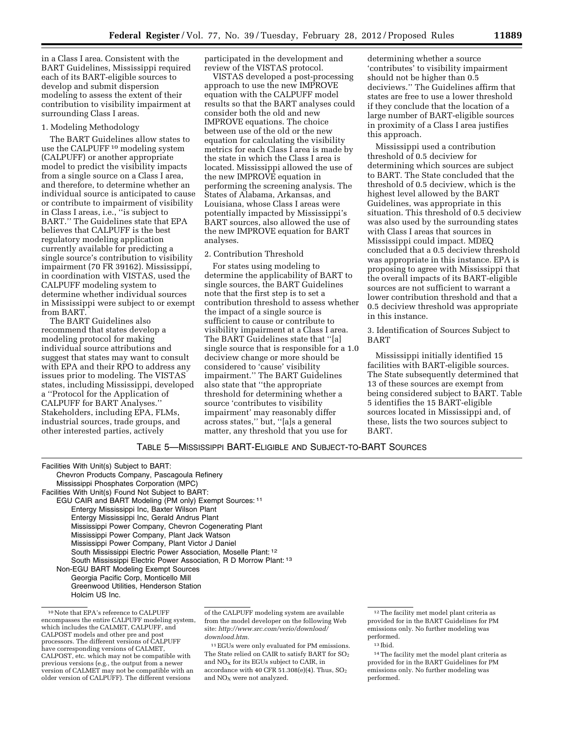in a Class I area. Consistent with the BART Guidelines, Mississippi required each of its BART-eligible sources to develop and submit dispersion modeling to assess the extent of their contribution to visibility impairment at surrounding Class I areas.

#### 1. Modeling Methodology

The BART Guidelines allow states to use the CALPUFF 10 modeling system (CALPUFF) or another appropriate model to predict the visibility impacts from a single source on a Class I area, and therefore, to determine whether an individual source is anticipated to cause or contribute to impairment of visibility in Class I areas, i.e., ''is subject to BART.'' The Guidelines state that EPA believes that CALPUFF is the best regulatory modeling application currently available for predicting a single source's contribution to visibility impairment (70 FR 39162). Mississippi, in coordination with VISTAS, used the CALPUFF modeling system to determine whether individual sources in Mississippi were subject to or exempt from BART.

The BART Guidelines also recommend that states develop a modeling protocol for making individual source attributions and suggest that states may want to consult with EPA and their RPO to address any issues prior to modeling. The VISTAS states, including Mississippi, developed a ''Protocol for the Application of CALPUFF for BART Analyses.'' Stakeholders, including EPA, FLMs, industrial sources, trade groups, and other interested parties, actively

participated in the development and review of the VISTAS protocol.

VISTAS developed a post-processing approach to use the new IMPROVE equation with the CALPUFF model results so that the BART analyses could consider both the old and new IMPROVE equations. The choice between use of the old or the new equation for calculating the visibility metrics for each Class I area is made by the state in which the Class I area is located. Mississippi allowed the use of the new IMPROVE equation in performing the screening analysis. The States of Alabama, Arkansas, and Louisiana, whose Class I areas were potentially impacted by Mississippi's BART sources, also allowed the use of the new IMPROVE equation for BART analyses.

#### 2. Contribution Threshold

For states using modeling to determine the applicability of BART to single sources, the BART Guidelines note that the first step is to set a contribution threshold to assess whether the impact of a single source is sufficient to cause or contribute to visibility impairment at a Class I area. The BART Guidelines state that ''[a] single source that is responsible for a 1.0 deciview change or more should be considered to 'cause' visibility impairment.'' The BART Guidelines also state that ''the appropriate threshold for determining whether a source 'contributes to visibility impairment' may reasonably differ across states,'' but, ''[a]s a general matter, any threshold that you use for

determining whether a source 'contributes' to visibility impairment should not be higher than 0.5 deciviews.'' The Guidelines affirm that states are free to use a lower threshold if they conclude that the location of a large number of BART-eligible sources in proximity of a Class I area justifies this approach.

Mississippi used a contribution threshold of 0.5 deciview for determining which sources are subject to BART. The State concluded that the threshold of 0.5 deciview, which is the highest level allowed by the BART Guidelines, was appropriate in this situation. This threshold of 0.5 deciview was also used by the surrounding states with Class I areas that sources in Mississippi could impact. MDEQ concluded that a 0.5 deciview threshold was appropriate in this instance. EPA is proposing to agree with Mississippi that the overall impacts of its BART-eligible sources are not sufficient to warrant a lower contribution threshold and that a 0.5 deciview threshold was appropriate in this instance.

3. Identification of Sources Subject to BART

Mississippi initially identified 15 facilities with BART-eligible sources. The State subsequently determined that 13 of these sources are exempt from being considered subject to BART. Table 5 identifies the 15 BART-eligible sources located in Mississippi and, of these, lists the two sources subject to BART.

# TABLE 5—MISSISSIPPI BART-ELIGIBLE AND SUBJECT-TO-BART SOURCES

| Facilities With Unit(s) Subject to BART:                           |
|--------------------------------------------------------------------|
| Chevron Products Company, Pascagoula Refinery                      |
| Mississippi Phosphates Corporation (MPC)                           |
| Facilities With Unit(s) Found Not Subject to BART:                 |
| EGU CAIR and BART Modeling (PM only) Exempt Sources: 11            |
| Entergy Mississippi Inc, Baxter Wilson Plant                       |
| Entergy Mississippi Inc. Gerald Andrus Plant                       |
| Mississippi Power Company, Chevron Cogenerating Plant              |
| Mississippi Power Company, Plant Jack Watson                       |
| Mississippi Power Company, Plant Victor J Daniel                   |
| South Mississippi Electric Power Association, Moselle Plant: 12    |
| South Mississippi Electric Power Association, R D Morrow Plant: 13 |
| Non-EGU BART Modeling Exempt Sources                               |
| Georgia Pacific Corp, Monticello Mill                              |
| Greenwood Utilities, Henderson Station                             |
| Holcim US Inc.                                                     |
|                                                                    |

<sup>10</sup>Note that EPA's reference to CALPUFF encompasses the entire CALPUFF modeling system, which includes the CALMET, CALPUFF, and CALPOST models and other pre and post processors. The different versions of CALPUFF have corresponding versions of CALMET, CALPOST, etc. which may not be compatible with previous versions (e.g., the output from a newer version of CALMET may not be compatible with an older version of CALPUFF). The different versions

of the CALPUFF modeling system are available from the model developer on the following Web site: *[http://www.src.com/verio/download/](http://www.src.com/verio/download/download.htm)  [download.htm.](http://www.src.com/verio/download/download.htm)* 

11EGUs were only evaluated for PM emissions. The State relied on CAIR to satisfy BART for  $SO_2$ and  $NO<sub>x</sub>$  for its EGUs subject to CAIR, in accordance with 40 CFR 51.308(e)(4). Thus,  $SO_2$ and  $NO<sub>x</sub>$  were not analyzed.

<sup>12</sup>The facility met model plant criteria as provided for in the BART Guidelines for PM emissions only. No further modeling was performed.

<sup>13</sup> Ibid.

<sup>14</sup>The facility met the model plant criteria as provided for in the BART Guidelines for PM emissions only. No further modeling was performed.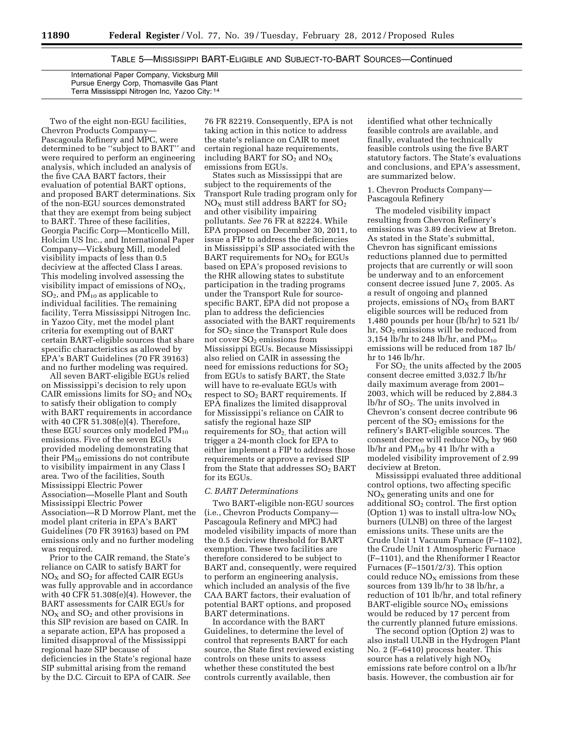TABLE 5—MISSISSIPPI BART-ELIGIBLE AND SUBJECT-TO-BART SOURCES—Continued

International Paper Company, Vicksburg Mill Pursue Energy Corp, Thomasville Gas Plant Terra Mississippi Nitrogen Inc, Yazoo City: 14

Two of the eight non-EGU facilities, Chevron Products Company— Pascagoula Refinery and MPC, were determined to be ''subject to BART'' and were required to perform an engineering analysis, which included an analysis of the five CAA BART factors, their evaluation of potential BART options, and proposed BART determinations. Six of the non-EGU sources demonstrated that they are exempt from being subject to BART. Three of these facilities, Georgia Pacific Corp—Monticello Mill, Holcim US Inc., and International Paper Company—Vicksburg Mill, modeled visibility impacts of less than 0.5 deciview at the affected Class I areas. This modeling involved assessing the visibility impact of emissions of  $NO<sub>X</sub>$ ,  $SO<sub>2</sub>$ , and PM<sub>10</sub> as applicable to individual facilities. The remaining facility, Terra Mississippi Nitrogen Inc. in Yazoo City, met the model plant criteria for exempting out of BART certain BART-eligible sources that share specific characteristics as allowed by EPA's BART Guidelines (70 FR 39163) and no further modeling was required.

All seven BART-eligible EGUs relied on Mississippi's decision to rely upon CAIR emissions limits for  $SO_2$  and  $NO_X$ to satisfy their obligation to comply with BART requirements in accordance with 40 CFR 51.308(e)(4). Therefore, these EGU sources only modeled  $PM_{10}$ emissions. Five of the seven EGUs provided modeling demonstrating that their  $PM_{10}$  emissions do not contribute to visibility impairment in any Class I area. Two of the facilities, South Mississippi Electric Power Association—Moselle Plant and South Mississippi Electric Power Association—R D Morrow Plant, met the model plant criteria in EPA's BART Guidelines (70 FR 39163) based on PM emissions only and no further modeling was required.

Prior to the CAIR remand, the State's reliance on CAIR to satisfy BART for  $NO<sub>X</sub>$  and  $SO<sub>2</sub>$  for affected CAIR EGUs was fully approvable and in accordance with 40 CFR 51.308(e)(4). However, the BART assessments for CAIR EGUs for  $NO<sub>X</sub>$  and  $SO<sub>2</sub>$  and other provisions in this SIP revision are based on CAIR. In a separate action, EPA has proposed a limited disapproval of the Mississippi regional haze SIP because of deficiencies in the State's regional haze SIP submittal arising from the remand by the D.C. Circuit to EPA of CAIR. *See* 

76 FR 82219. Consequently, EPA is not taking action in this notice to address the state's reliance on CAIR to meet certain regional haze requirements, including BART for  $SO_2$  and  $NO_X$ emissions from EGUs.

States such as Mississippi that are subject to the requirements of the Transport Rule trading program only for  $NO<sub>x</sub>$  must still address BART for  $SO<sub>2</sub>$ and other visibility impairing pollutants. *See* 76 FR at 82224. While EPA proposed on December 30, 2011, to issue a FIP to address the deficiencies in Mississippi's SIP associated with the BART requirements for  $NO<sub>x</sub>$  for EGUs based on EPA's proposed revisions to the RHR allowing states to substitute participation in the trading programs under the Transport Rule for sourcespecific BART, EPA did not propose a plan to address the deficiencies associated with the BART requirements for  $SO<sub>2</sub>$  since the Transport Rule does not cover  $SO<sub>2</sub>$  emissions from Mississippi EGUs. Because Mississippi also relied on CAIR in assessing the need for emissions reductions for  $SO<sub>2</sub>$ from EGUs to satisfy BART, the State will have to re-evaluate EGUs with respect to  $SO<sub>2</sub>$  BART requirements. If EPA finalizes the limited disapproval for Mississippi's reliance on CAIR to satisfy the regional haze SIP requirements for  $SO<sub>2</sub>$ , that action will trigger a 24-month clock for EPA to either implement a FIP to address those requirements or approve a revised SIP from the State that addresses  $SO<sub>2</sub>$  BART for its EGUs.

### *C. BART Determinations*

Two BART-eligible non-EGU sources (i.e., Chevron Products Company— Pascagoula Refinery and MPC) had modeled visibility impacts of more than the 0.5 deciview threshold for BART exemption. These two facilities are therefore considered to be subject to BART and, consequently, were required to perform an engineering analysis, which included an analysis of the five CAA BART factors, their evaluation of potential BART options, and proposed BART determinations.

In accordance with the BART Guidelines, to determine the level of control that represents BART for each source, the State first reviewed existing controls on these units to assess whether these constituted the best controls currently available, then

identified what other technically feasible controls are available, and finally, evaluated the technically feasible controls using the five BART statutory factors. The State's evaluations and conclusions, and EPA's assessment, are summarized below.

1. Chevron Products Company— Pascagoula Refinery

The modeled visibility impact resulting from Chevron Refinery's emissions was 3.89 deciview at Breton. As stated in the State's submittal, Chevron has significant emissions reductions planned due to permitted projects that are currently or will soon be underway and to an enforcement consent decree issued June 7, 2005. As a result of ongoing and planned projects, emissions of  $NO<sub>x</sub>$  from BART eligible sources will be reduced from 1,480 pounds per hour (lb/hr) to 521 lb/ hr, SO<sub>2</sub> emissions will be reduced from 3,154 lb/hr to 248 lb/hr, and  $PM_{10}$ emissions will be reduced from 187 lb/ hr to 146 lb/hr.

For SO2, the units affected by the 2005 consent decree emitted 3,032.7 lb/hr daily maximum average from 2001– 2003, which will be reduced by 2,884.3  $lb/hr$  of  $SO<sub>2</sub>$ . The units involved in Chevron's consent decree contribute 96 percent of the  $SO<sub>2</sub>$  emissions for the refinery's BART-eligible sources. The consent decree will reduce  $NO<sub>X</sub>$  by 960 lb/hr and  $PM_{10}$  by 41 lb/hr with a modeled visibility improvement of 2.99 deciview at Breton.

Mississippi evaluated three additional control options, two affecting specific  $NO<sub>x</sub>$  generating units and one for additional  $SO<sub>2</sub>$  control. The first option (Option 1) was to install ultra-low  $NO<sub>X</sub>$ burners (ULNB) on three of the largest emissions units. These units are the Crude Unit 1 Vacuum Furnace (F–1102), the Crude Unit 1 Atmospheric Furnace (F–1101), and the Rheniformer I Reactor Furnaces (F–1501/2/3). This option could reduce  $NO<sub>X</sub>$  emissions from these sources from 139 lb/hr to 38 lb/hr, a reduction of 101 lb/hr, and total refinery BART-eligible source  $NO<sub>X</sub>$  emissions would be reduced by 17 percent from the currently planned future emissions.

The second option (Option 2) was to also install ULNB in the Hydrogen Plant No. 2 (F–6410) process heater. This source has a relatively high  $NO<sub>x</sub>$ emissions rate before control on a lb/hr basis. However, the combustion air for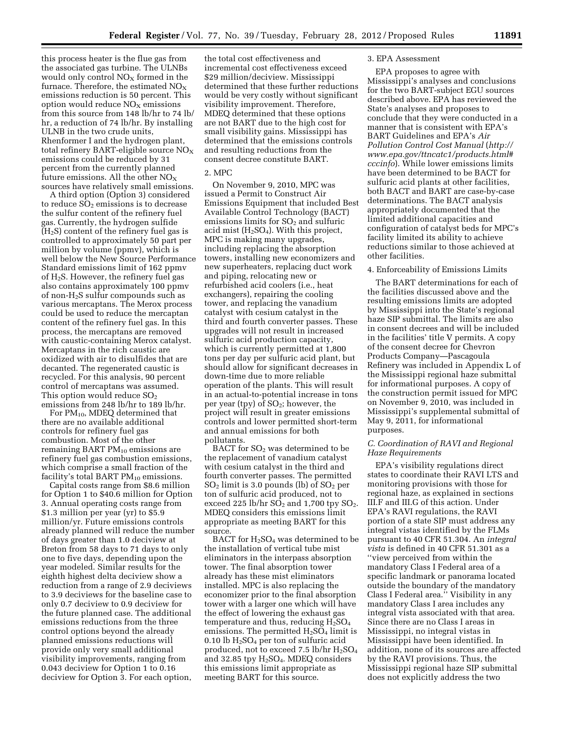this process heater is the flue gas from the associated gas turbine. The ULNBs would only control  $NO<sub>X</sub>$  formed in the furnace. Therefore, the estimated  $NO<sub>X</sub>$ emissions reduction is 50 percent. This option would reduce  $NO<sub>x</sub>$  emissions from this source from 148 lb/hr to 74 lb/ hr, a reduction of 74 lb/hr. By installing ULNB in the two crude units, Rhenformer I and the hydrogen plant, total refinery BART-eligible source  $NO<sub>X</sub>$ emissions could be reduced by 31 percent from the currently planned future emissions. All the other  $NO<sub>x</sub>$ sources have relatively small emissions.

A third option (Option 3) considered to reduce  $SO<sub>2</sub>$  emissions is to decrease the sulfur content of the refinery fuel gas. Currently, the hydrogen sulfide  $(H<sub>2</sub>S)$  content of the refinery fuel gas is controlled to approximately 50 part per million by volume (ppmv), which is well below the New Source Performance Standard emissions limit of 162 ppmv of  $H_2S$ . However, the refinery fuel gas also contains approximately 100 ppmv of non-H2S sulfur compounds such as various mercaptans. The Merox process could be used to reduce the mercaptan content of the refinery fuel gas. In this process, the mercaptans are removed with caustic-containing Merox catalyst. Mercaptans in the rich caustic are oxidized with air to disulfides that are decanted. The regenerated caustic is recycled. For this analysis, 90 percent control of mercaptans was assumed. This option would reduce  $SO<sub>2</sub>$ emissions from 248 lb/hr to 189 lb/hr.

For PM10, MDEQ determined that there are no available additional controls for refinery fuel gas combustion. Most of the other remaining BART  $PM_{10}$  emissions are refinery fuel gas combustion emissions, which comprise a small fraction of the facility's total BART  $PM_{10}$  emissions.

Capital costs range from \$8.6 million for Option 1 to \$40.6 million for Option 3. Annual operating costs range from \$1.3 million per year (yr) to \$5.9 million/yr. Future emissions controls already planned will reduce the number of days greater than 1.0 deciview at Breton from 58 days to 71 days to only one to five days, depending upon the year modeled. Similar results for the eighth highest delta deciview show a reduction from a range of 2.9 deciviews to 3.9 deciviews for the baseline case to only 0.7 deciview to 0.9 deciview for the future planned case. The additional emissions reductions from the three control options beyond the already planned emissions reductions will provide only very small additional visibility improvements, ranging from 0.043 deciview for Option 1 to 0.16 deciview for Option 3. For each option,

the total cost effectiveness and incremental cost effectiveness exceed \$29 million/deciview. Mississippi determined that these further reductions would be very costly without significant visibility improvement. Therefore, MDEQ determined that these options are not BART due to the high cost for small visibility gains. Mississippi has determined that the emissions controls and resulting reductions from the consent decree constitute BART.

# 2. MPC

On November 9, 2010, MPC was issued a Permit to Construct Air Emissions Equipment that included Best Available Control Technology (BACT) emissions limits for  $SO<sub>2</sub>$  and sulfuric acid mist  $(H_2SO_4)$ . With this project, MPC is making many upgrades, including replacing the absorption towers, installing new economizers and new superheaters, replacing duct work and piping, relocating new or refurbished acid coolers (i.e., heat exchangers), repairing the cooling tower, and replacing the vanadium catalyst with cesium catalyst in the third and fourth converter passes. These upgrades will not result in increased sulfuric acid production capacity, which is currently permitted at 1,800 tons per day per sulfuric acid plant, but should allow for significant decreases in down-time due to more reliable operation of the plants. This will result in an actual-to-potential increase in tons per year (tpy) of  $SO_2$ ; however, the project will result in greater emissions controls and lower permitted short-term and annual emissions for both pollutants.

BACT for  $SO<sub>2</sub>$  was determined to be the replacement of vanadium catalyst with cesium catalyst in the third and fourth converter passes. The permitted  $SO<sub>2</sub>$  limit is 3.0 pounds (lb) of  $SO<sub>2</sub>$  per ton of sulfuric acid produced, not to exceed 225 lb/hr  $SO_2$  and 1,700 tpy  $SO_2$ . MDEQ considers this emissions limit appropriate as meeting BART for this source.

BACT for  $H<sub>2</sub>SO<sub>4</sub>$  was determined to be the installation of vertical tube mist eliminators in the interpass absorption tower. The final absorption tower already has these mist eliminators installed. MPC is also replacing the economizer prior to the final absorption tower with a larger one which will have the effect of lowering the exhaust gas temperature and thus, reducing  $H<sub>2</sub>SO<sub>4</sub>$ emissions. The permitted  $H_2SO_4$  limit is 0.10 lb  $H<sub>2</sub>SO<sub>4</sub>$  per ton of sulfuric acid produced, not to exceed 7.5 lb/hr  $H<sub>2</sub>SO<sub>4</sub>$ and 32.85 tpy H2SO4. MDEQ considers this emissions limit appropriate as meeting BART for this source.

#### 3. EPA Assessment

EPA proposes to agree with Mississippi's analyses and conclusions for the two BART-subject EGU sources described above. EPA has reviewed the State's analyses and proposes to conclude that they were conducted in a manner that is consistent with EPA's BART Guidelines and EPA's *Air Pollution Control Cost Manual* (*[http://](http://www.epa.gov/ttncatc1/products.html#cccinfo) [www.epa.gov/ttncatc1/products.html#](http://www.epa.gov/ttncatc1/products.html#cccinfo) [cccinfo](http://www.epa.gov/ttncatc1/products.html#cccinfo)*). While lower emissions limits have been determined to be BACT for sulfuric acid plants at other facilities, both BACT and BART are case-by-case determinations. The BACT analysis appropriately documented that the limited additional capacities and configuration of catalyst beds for MPC's facility limited its ability to achieve reductions similar to those achieved at other facilities.

#### 4. Enforceability of Emissions Limits

The BART determinations for each of the facilities discussed above and the resulting emissions limits are adopted by Mississippi into the State's regional haze SIP submittal. The limits are also in consent decrees and will be included in the facilities' title V permits. A copy of the consent decree for Chevron Products Company—Pascagoula Refinery was included in Appendix L of the Mississippi regional haze submittal for informational purposes. A copy of the construction permit issued for MPC on November 9, 2010, was included in Mississippi's supplemental submittal of May 9, 2011, for informational purposes.

## *C. Coordination of RAVI and Regional Haze Requirements*

EPA's visibility regulations direct states to coordinate their RAVI LTS and monitoring provisions with those for regional haze, as explained in sections III.F and III.G of this action. Under EPA's RAVI regulations, the RAVI portion of a state SIP must address any integral vistas identified by the FLMs pursuant to 40 CFR 51.304. An *integral vista* is defined in 40 CFR 51.301 as a ''view perceived from within the mandatory Class I Federal area of a specific landmark or panorama located outside the boundary of the mandatory Class I Federal area.'' Visibility in any mandatory Class I area includes any integral vista associated with that area. Since there are no Class I areas in Mississippi, no integral vistas in Mississippi have been identified. In addition, none of its sources are affected by the RAVI provisions. Thus, the Mississippi regional haze SIP submittal does not explicitly address the two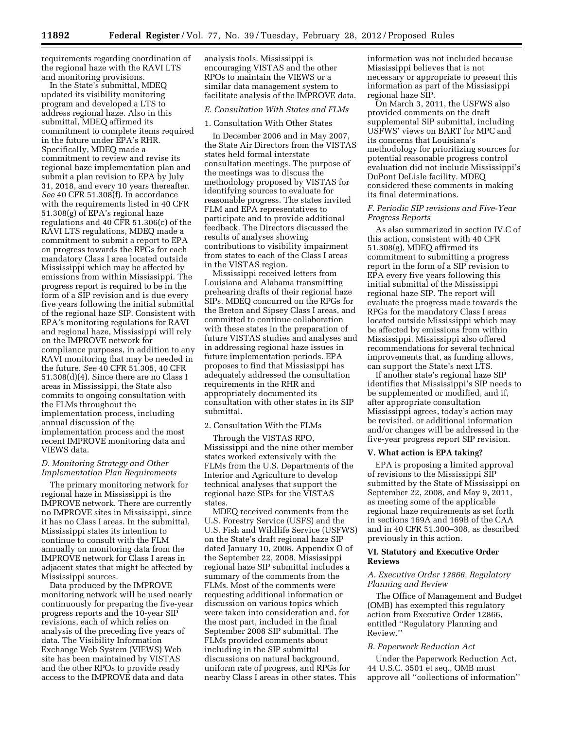requirements regarding coordination of the regional haze with the RAVI LTS and monitoring provisions.

In the State's submittal, MDEQ updated its visibility monitoring program and developed a LTS to address regional haze. Also in this submittal, MDEQ affirmed its commitment to complete items required in the future under EPA's RHR. Specifically, MDEQ made a commitment to review and revise its regional haze implementation plan and submit a plan revision to EPA by July 31, 2018, and every 10 years thereafter. *See* 40 CFR 51.308(f). In accordance with the requirements listed in 40 CFR 51.308(g) of EPA's regional haze regulations and 40 CFR 51.306(c) of the RAVI LTS regulations, MDEQ made a commitment to submit a report to EPA on progress towards the RPGs for each mandatory Class I area located outside Mississippi which may be affected by emissions from within Mississippi. The progress report is required to be in the form of a SIP revision and is due every five years following the initial submittal of the regional haze SIP. Consistent with EPA's monitoring regulations for RAVI and regional haze, Mississippi will rely on the IMPROVE network for compliance purposes, in addition to any RAVI monitoring that may be needed in the future. *See* 40 CFR 51.305, 40 CFR 51.308(d)(4). Since there are no Class I areas in Mississippi, the State also commits to ongoing consultation with the FLMs throughout the implementation process, including annual discussion of the implementation process and the most recent IMPROVE monitoring data and VIEWS data.

## *D. Monitoring Strategy and Other Implementation Plan Requirements*

The primary monitoring network for regional haze in Mississippi is the IMPROVE network. There are currently no IMPROVE sites in Mississippi, since it has no Class I areas. In the submittal, Mississippi states its intention to continue to consult with the FLM annually on monitoring data from the IMPROVE network for Class I areas in adjacent states that might be affected by Mississippi sources.

Data produced by the IMPROVE monitoring network will be used nearly continuously for preparing the five-year progress reports and the 10-year SIP revisions, each of which relies on analysis of the preceding five years of data. The Visibility Information Exchange Web System (VIEWS) Web site has been maintained by VISTAS and the other RPOs to provide ready access to the IMPROVE data and data

analysis tools. Mississippi is encouraging VISTAS and the other RPOs to maintain the VIEWS or a similar data management system to facilitate analysis of the IMPROVE data.

#### *E. Consultation With States and FLMs*

#### 1. Consultation With Other States

In December 2006 and in May 2007, the State Air Directors from the VISTAS states held formal interstate consultation meetings. The purpose of the meetings was to discuss the methodology proposed by VISTAS for identifying sources to evaluate for reasonable progress. The states invited FLM and EPA representatives to participate and to provide additional feedback. The Directors discussed the results of analyses showing contributions to visibility impairment from states to each of the Class I areas in the VISTAS region.

Mississippi received letters from Louisiana and Alabama transmitting prehearing drafts of their regional haze SIPs. MDEQ concurred on the RPGs for the Breton and Sipsey Class I areas, and committed to continue collaboration with these states in the preparation of future VISTAS studies and analyses and in addressing regional haze issues in future implementation periods. EPA proposes to find that Mississippi has adequately addressed the consultation requirements in the RHR and appropriately documented its consultation with other states in its SIP submittal.

## 2. Consultation With the FLMs

Through the VISTAS RPO, Mississippi and the nine other member states worked extensively with the FLMs from the U.S. Departments of the Interior and Agriculture to develop technical analyses that support the regional haze SIPs for the VISTAS states.

MDEQ received comments from the U.S. Forestry Service (USFS) and the U.S. Fish and Wildlife Service (USFWS) on the State's draft regional haze SIP dated January 10, 2008. Appendix O of the September 22, 2008, Mississippi regional haze SIP submittal includes a summary of the comments from the FLMs. Most of the comments were requesting additional information or discussion on various topics which were taken into consideration and, for the most part, included in the final September 2008 SIP submittal. The FLMs provided comments about including in the SIP submittal discussions on natural background, uniform rate of progress, and RPGs for nearby Class I areas in other states. This

information was not included because Mississippi believes that is not necessary or appropriate to present this information as part of the Mississippi regional haze SIP.

On March 3, 2011, the USFWS also provided comments on the draft supplemental SIP submittal, including USFWS' views on BART for MPC and its concerns that Louisiana's methodology for prioritizing sources for potential reasonable progress control evaluation did not include Mississippi's DuPont DeLisle facility. MDEQ considered these comments in making its final determinations.

## *F. Periodic SIP revisions and Five-Year Progress Reports*

As also summarized in section IV.C of this action, consistent with 40 CFR 51.308(g), MDEQ affirmed its commitment to submitting a progress report in the form of a SIP revision to EPA every five years following this initial submittal of the Mississippi regional haze SIP. The report will evaluate the progress made towards the RPGs for the mandatory Class I areas located outside Mississippi which may be affected by emissions from within Mississippi. Mississippi also offered recommendations for several technical improvements that, as funding allows, can support the State's next LTS.

If another state's regional haze SIP identifies that Mississippi's SIP needs to be supplemented or modified, and if, after appropriate consultation Mississippi agrees, today's action may be revisited, or additional information and/or changes will be addressed in the five-year progress report SIP revision.

#### **V. What action is EPA taking?**

EPA is proposing a limited approval of revisions to the Mississippi SIP submitted by the State of Mississippi on September 22, 2008, and May 9, 2011, as meeting some of the applicable regional haze requirements as set forth in sections 169A and 169B of the CAA and in 40 CFR 51.300–308, as described previously in this action.

## **VI. Statutory and Executive Order Reviews**

## *A. Executive Order 12866, Regulatory Planning and Review*

The Office of Management and Budget (OMB) has exempted this regulatory action from Executive Order 12866, entitled ''Regulatory Planning and Review.''

#### *B. Paperwork Reduction Act*

Under the Paperwork Reduction Act, 44 U.S.C. 3501 et seq., OMB must approve all ''collections of information''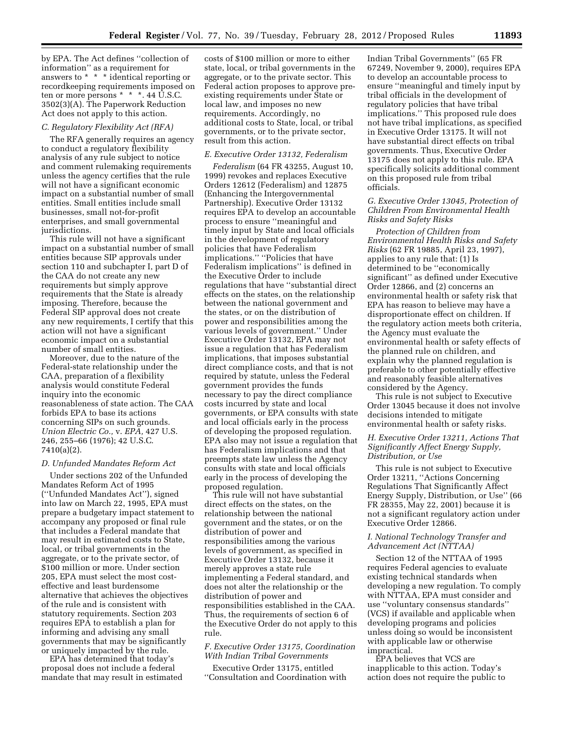by EPA. The Act defines ''collection of information'' as a requirement for answers to \* \* \* identical reporting or recordkeeping requirements imposed on ten or more persons \* \* \*. 44 U.S.C. 3502(3)(A). The Paperwork Reduction Act does not apply to this action.

## *C. Regulatory Flexibility Act (RFA)*

The RFA generally requires an agency to conduct a regulatory flexibility analysis of any rule subject to notice and comment rulemaking requirements unless the agency certifies that the rule will not have a significant economic impact on a substantial number of small entities. Small entities include small businesses, small not-for-profit enterprises, and small governmental jurisdictions.

This rule will not have a significant impact on a substantial number of small entities because SIP approvals under section 110 and subchapter I, part D of the CAA do not create any new requirements but simply approve requirements that the State is already imposing. Therefore, because the Federal SIP approval does not create any new requirements, I certify that this action will not have a significant economic impact on a substantial number of small entities.

Moreover, due to the nature of the Federal-state relationship under the CAA, preparation of a flexibility analysis would constitute Federal inquiry into the economic reasonableness of state action. The CAA forbids EPA to base its actions concerning SIPs on such grounds. *Union Electric Co.,* v. *EPA,* 427 U.S. 246, 255–66 (1976); 42 U.S.C. 7410(a)(2).

#### *D. Unfunded Mandates Reform Act*

Under sections 202 of the Unfunded Mandates Reform Act of 1995 (''Unfunded Mandates Act''), signed into law on March 22, 1995, EPA must prepare a budgetary impact statement to accompany any proposed or final rule that includes a Federal mandate that may result in estimated costs to State, local, or tribal governments in the aggregate, or to the private sector, of \$100 million or more. Under section 205, EPA must select the most costeffective and least burdensome alternative that achieves the objectives of the rule and is consistent with statutory requirements. Section 203 requires EPA to establish a plan for informing and advising any small governments that may be significantly or uniquely impacted by the rule.

EPA has determined that today's proposal does not include a federal mandate that may result in estimated

costs of \$100 million or more to either state, local, or tribal governments in the aggregate, or to the private sector. This Federal action proposes to approve preexisting requirements under State or local law, and imposes no new requirements. Accordingly, no additional costs to State, local, or tribal governments, or to the private sector, result from this action.

#### *E. Executive Order 13132, Federalism*

*Federalism* (64 FR 43255, August 10, 1999) revokes and replaces Executive Orders 12612 (Federalism) and 12875 (Enhancing the Intergovernmental Partnership). Executive Order 13132 requires EPA to develop an accountable process to ensure ''meaningful and timely input by State and local officials in the development of regulatory policies that have Federalism implications.'' ''Policies that have Federalism implications'' is defined in the Executive Order to include regulations that have ''substantial direct effects on the states, on the relationship between the national government and the states, or on the distribution of power and responsibilities among the various levels of government.'' Under Executive Order 13132, EPA may not issue a regulation that has Federalism implications, that imposes substantial direct compliance costs, and that is not required by statute, unless the Federal government provides the funds necessary to pay the direct compliance costs incurred by state and local governments, or EPA consults with state and local officials early in the process of developing the proposed regulation. EPA also may not issue a regulation that has Federalism implications and that preempts state law unless the Agency consults with state and local officials early in the process of developing the proposed regulation.

This rule will not have substantial direct effects on the states, on the relationship between the national government and the states, or on the distribution of power and responsibilities among the various levels of government, as specified in Executive Order 13132, because it merely approves a state rule implementing a Federal standard, and does not alter the relationship or the distribution of power and responsibilities established in the CAA. Thus, the requirements of section 6 of the Executive Order do not apply to this rule.

# *F. Executive Order 13175, Coordination With Indian Tribal Governments*

Executive Order 13175, entitled ''Consultation and Coordination with Indian Tribal Governments'' (65 FR 67249, November 9, 2000), requires EPA to develop an accountable process to ensure ''meaningful and timely input by tribal officials in the development of regulatory policies that have tribal implications.'' This proposed rule does not have tribal implications, as specified in Executive Order 13175. It will not have substantial direct effects on tribal governments. Thus, Executive Order 13175 does not apply to this rule. EPA specifically solicits additional comment on this proposed rule from tribal officials.

## *G. Executive Order 13045, Protection of Children From Environmental Health Risks and Safety Risks*

*Protection of Children from Environmental Health Risks and Safety Risks* (62 FR 19885, April 23, 1997), applies to any rule that: (1) Is determined to be ''economically significant'' as defined under Executive Order 12866, and (2) concerns an environmental health or safety risk that EPA has reason to believe may have a disproportionate effect on children. If the regulatory action meets both criteria, the Agency must evaluate the environmental health or safety effects of the planned rule on children, and explain why the planned regulation is preferable to other potentially effective and reasonably feasible alternatives considered by the Agency.

This rule is not subject to Executive Order 13045 because it does not involve decisions intended to mitigate environmental health or safety risks.

# *H. Executive Order 13211, Actions That Significantly Affect Energy Supply, Distribution, or Use*

This rule is not subject to Executive Order 13211, ''Actions Concerning Regulations That Significantly Affect Energy Supply, Distribution, or Use'' (66 FR 28355, May 22, 2001) because it is not a significant regulatory action under Executive Order 12866.

# *I. National Technology Transfer and Advancement Act (NTTAA)*

Section 12 of the NTTAA of 1995 requires Federal agencies to evaluate existing technical standards when developing a new regulation. To comply with NTTAA, EPA must consider and use ''voluntary consensus standards'' (VCS) if available and applicable when developing programs and policies unless doing so would be inconsistent with applicable law or otherwise impractical.

EPA believes that VCS are inapplicable to this action. Today's action does not require the public to